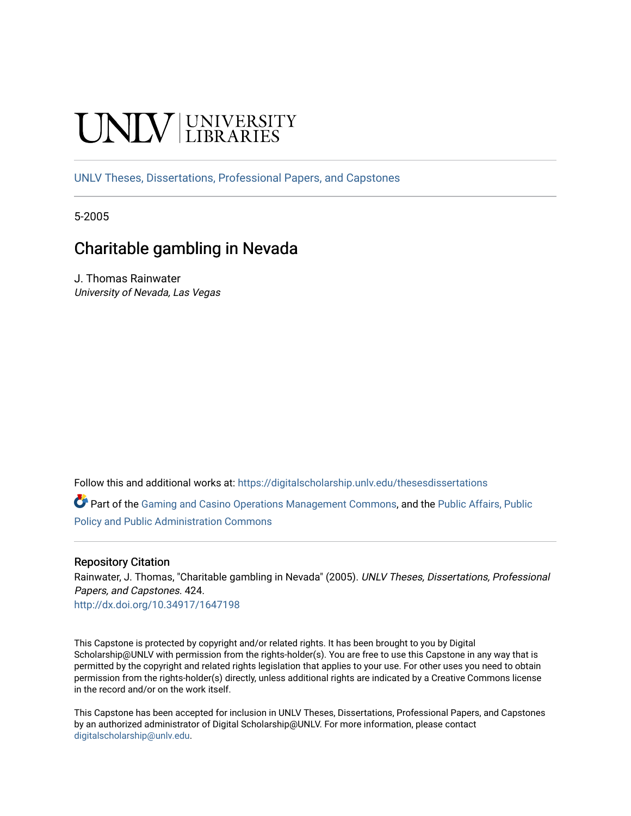# **INIVERSITY**

[UNLV Theses, Dissertations, Professional Papers, and Capstones](https://digitalscholarship.unlv.edu/thesesdissertations)

5-2005

# Charitable gambling in Nevada

J. Thomas Rainwater University of Nevada, Las Vegas

Follow this and additional works at: [https://digitalscholarship.unlv.edu/thesesdissertations](https://digitalscholarship.unlv.edu/thesesdissertations?utm_source=digitalscholarship.unlv.edu%2Fthesesdissertations%2F424&utm_medium=PDF&utm_campaign=PDFCoverPages)

Part of the [Gaming and Casino Operations Management Commons](http://network.bepress.com/hgg/discipline/1088?utm_source=digitalscholarship.unlv.edu%2Fthesesdissertations%2F424&utm_medium=PDF&utm_campaign=PDFCoverPages), and the [Public Affairs, Public](http://network.bepress.com/hgg/discipline/393?utm_source=digitalscholarship.unlv.edu%2Fthesesdissertations%2F424&utm_medium=PDF&utm_campaign=PDFCoverPages)  [Policy and Public Administration Commons](http://network.bepress.com/hgg/discipline/393?utm_source=digitalscholarship.unlv.edu%2Fthesesdissertations%2F424&utm_medium=PDF&utm_campaign=PDFCoverPages)

#### Repository Citation

Rainwater, J. Thomas, "Charitable gambling in Nevada" (2005). UNLV Theses, Dissertations, Professional Papers, and Capstones. 424.

<http://dx.doi.org/10.34917/1647198>

This Capstone is protected by copyright and/or related rights. It has been brought to you by Digital Scholarship@UNLV with permission from the rights-holder(s). You are free to use this Capstone in any way that is permitted by the copyright and related rights legislation that applies to your use. For other uses you need to obtain permission from the rights-holder(s) directly, unless additional rights are indicated by a Creative Commons license in the record and/or on the work itself.

This Capstone has been accepted for inclusion in UNLV Theses, Dissertations, Professional Papers, and Capstones by an authorized administrator of Digital Scholarship@UNLV. For more information, please contact [digitalscholarship@unlv.edu](mailto:digitalscholarship@unlv.edu).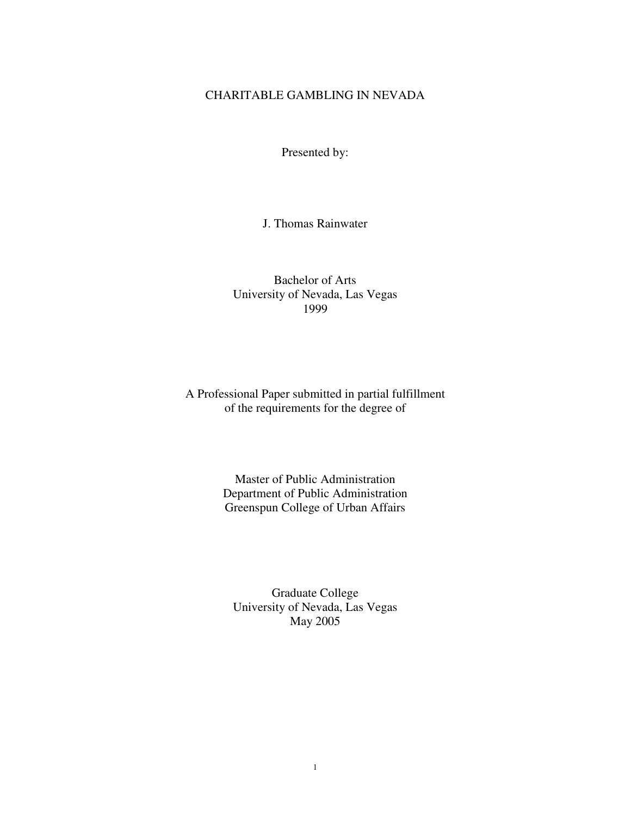# CHARITABLE GAMBLING IN NEVADA

Presented by:

J. Thomas Rainwater

Bachelor of Arts University of Nevada, Las Vegas 1999

A Professional Paper submitted in partial fulfillment of the requirements for the degree of

> Master of Public Administration Department of Public Administration Greenspun College of Urban Affairs

Graduate College University of Nevada, Las Vegas May 2005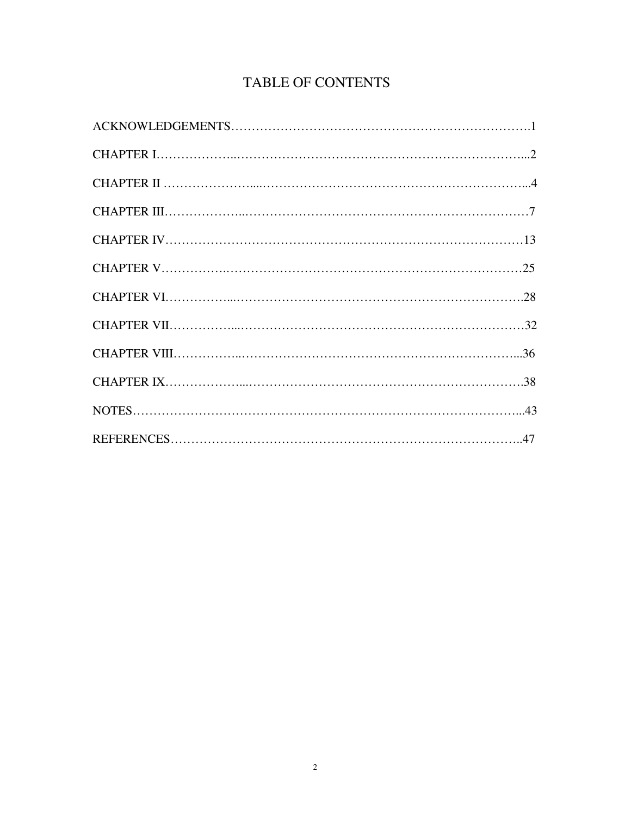# TABLE OF CONTENTS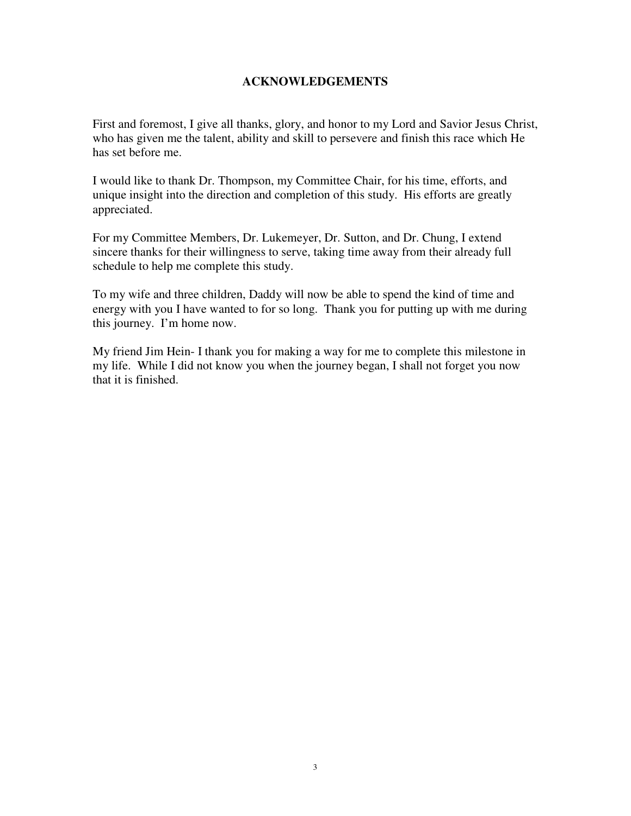# **ACKNOWLEDGEMENTS**

First and foremost, I give all thanks, glory, and honor to my Lord and Savior Jesus Christ, who has given me the talent, ability and skill to persevere and finish this race which He has set before me.

I would like to thank Dr. Thompson, my Committee Chair, for his time, efforts, and unique insight into the direction and completion of this study. His efforts are greatly appreciated.

For my Committee Members, Dr. Lukemeyer, Dr. Sutton, and Dr. Chung, I extend sincere thanks for their willingness to serve, taking time away from their already full schedule to help me complete this study.

To my wife and three children, Daddy will now be able to spend the kind of time and energy with you I have wanted to for so long. Thank you for putting up with me during this journey. I'm home now.

My friend Jim Hein- I thank you for making a way for me to complete this milestone in my life. While I did not know you when the journey began, I shall not forget you now that it is finished.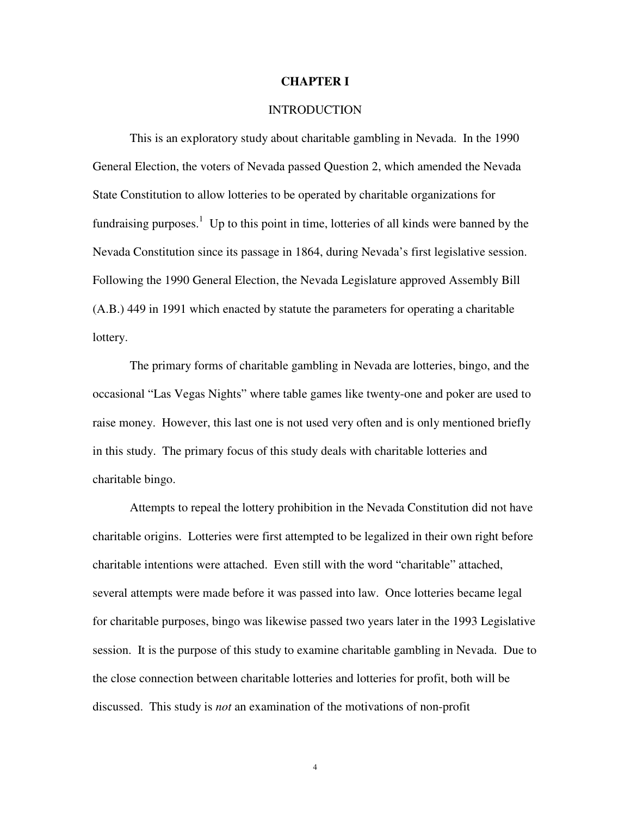#### **CHAPTER I**

#### **INTRODUCTION**

 This is an exploratory study about charitable gambling in Nevada. In the 1990 General Election, the voters of Nevada passed Question 2, which amended the Nevada State Constitution to allow lotteries to be operated by charitable organizations for fundraising purposes.<sup>1</sup> Up to this point in time, lotteries of all kinds were banned by the Nevada Constitution since its passage in 1864, during Nevada's first legislative session. Following the 1990 General Election, the Nevada Legislature approved Assembly Bill (A.B.) 449 in 1991 which enacted by statute the parameters for operating a charitable lottery.

The primary forms of charitable gambling in Nevada are lotteries, bingo, and the occasional "Las Vegas Nights" where table games like twenty-one and poker are used to raise money. However, this last one is not used very often and is only mentioned briefly in this study. The primary focus of this study deals with charitable lotteries and charitable bingo.

Attempts to repeal the lottery prohibition in the Nevada Constitution did not have charitable origins. Lotteries were first attempted to be legalized in their own right before charitable intentions were attached. Even still with the word "charitable" attached, several attempts were made before it was passed into law. Once lotteries became legal for charitable purposes, bingo was likewise passed two years later in the 1993 Legislative session. It is the purpose of this study to examine charitable gambling in Nevada. Due to the close connection between charitable lotteries and lotteries for profit, both will be discussed. This study is *not* an examination of the motivations of non-profit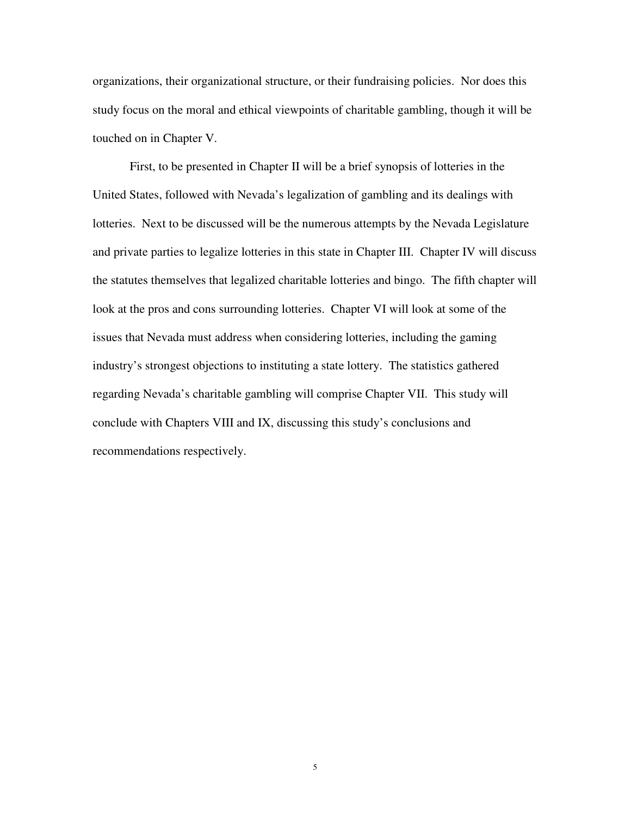organizations, their organizational structure, or their fundraising policies. Nor does this study focus on the moral and ethical viewpoints of charitable gambling, though it will be touched on in Chapter V.

First, to be presented in Chapter II will be a brief synopsis of lotteries in the United States, followed with Nevada's legalization of gambling and its dealings with lotteries. Next to be discussed will be the numerous attempts by the Nevada Legislature and private parties to legalize lotteries in this state in Chapter III. Chapter IV will discuss the statutes themselves that legalized charitable lotteries and bingo. The fifth chapter will look at the pros and cons surrounding lotteries. Chapter VI will look at some of the issues that Nevada must address when considering lotteries, including the gaming industry's strongest objections to instituting a state lottery. The statistics gathered regarding Nevada's charitable gambling will comprise Chapter VII. This study will conclude with Chapters VIII and IX, discussing this study's conclusions and recommendations respectively.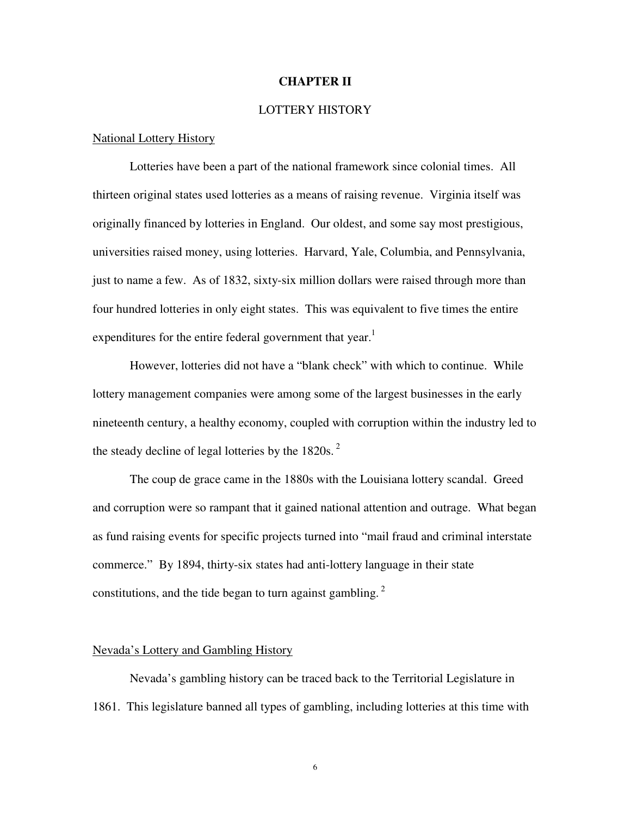#### **CHAPTER II**

#### LOTTERY HISTORY

#### National Lottery History

 Lotteries have been a part of the national framework since colonial times. All thirteen original states used lotteries as a means of raising revenue. Virginia itself was originally financed by lotteries in England. Our oldest, and some say most prestigious, universities raised money, using lotteries. Harvard, Yale, Columbia, and Pennsylvania, just to name a few. As of 1832, sixty-six million dollars were raised through more than four hundred lotteries in only eight states. This was equivalent to five times the entire expenditures for the entire federal government that year.<sup>1</sup>

 However, lotteries did not have a "blank check" with which to continue. While lottery management companies were among some of the largest businesses in the early nineteenth century, a healthy economy, coupled with corruption within the industry led to the steady decline of legal lotteries by the  $1820s$ .<sup>2</sup>

 The coup de grace came in the 1880s with the Louisiana lottery scandal. Greed and corruption were so rampant that it gained national attention and outrage. What began as fund raising events for specific projects turned into "mail fraud and criminal interstate commerce." By 1894, thirty-six states had anti-lottery language in their state constitutions, and the tide began to turn against gambling.<sup>2</sup>

#### Nevada's Lottery and Gambling History

Nevada's gambling history can be traced back to the Territorial Legislature in 1861. This legislature banned all types of gambling, including lotteries at this time with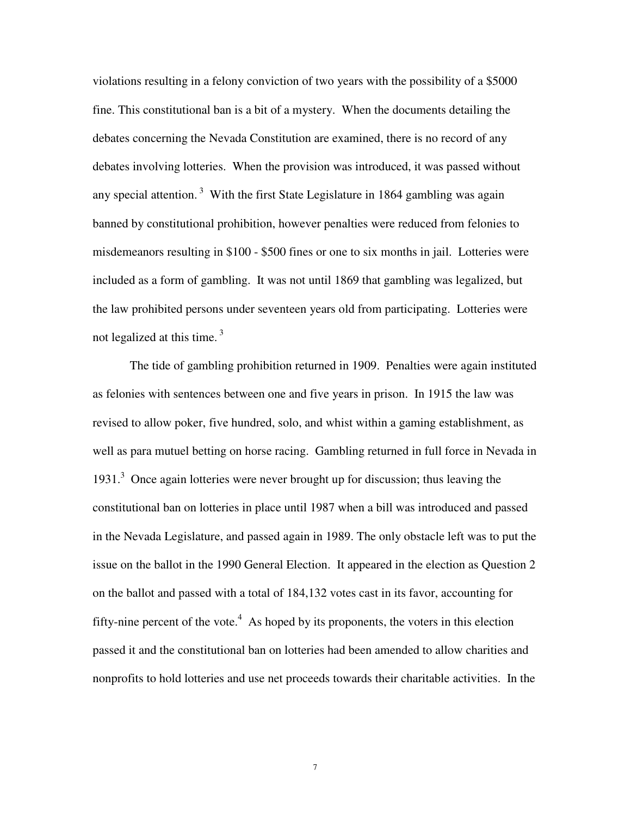violations resulting in a felony conviction of two years with the possibility of a \$5000 fine. This constitutional ban is a bit of a mystery. When the documents detailing the debates concerning the Nevada Constitution are examined, there is no record of any debates involving lotteries. When the provision was introduced, it was passed without any special attention.<sup>3</sup> With the first State Legislature in 1864 gambling was again banned by constitutional prohibition, however penalties were reduced from felonies to misdemeanors resulting in \$100 - \$500 fines or one to six months in jail. Lotteries were included as a form of gambling. It was not until 1869 that gambling was legalized, but the law prohibited persons under seventeen years old from participating. Lotteries were not legalized at this time.<sup>3</sup>

The tide of gambling prohibition returned in 1909. Penalties were again instituted as felonies with sentences between one and five years in prison. In 1915 the law was revised to allow poker, five hundred, solo, and whist within a gaming establishment, as well as para mutuel betting on horse racing. Gambling returned in full force in Nevada in 1931.<sup>3</sup> Once again lotteries were never brought up for discussion; thus leaving the constitutional ban on lotteries in place until 1987 when a bill was introduced and passed in the Nevada Legislature, and passed again in 1989. The only obstacle left was to put the issue on the ballot in the 1990 General Election. It appeared in the election as Question 2 on the ballot and passed with a total of 184,132 votes cast in its favor, accounting for fifty-nine percent of the vote. $4$  As hoped by its proponents, the voters in this election passed it and the constitutional ban on lotteries had been amended to allow charities and nonprofits to hold lotteries and use net proceeds towards their charitable activities. In the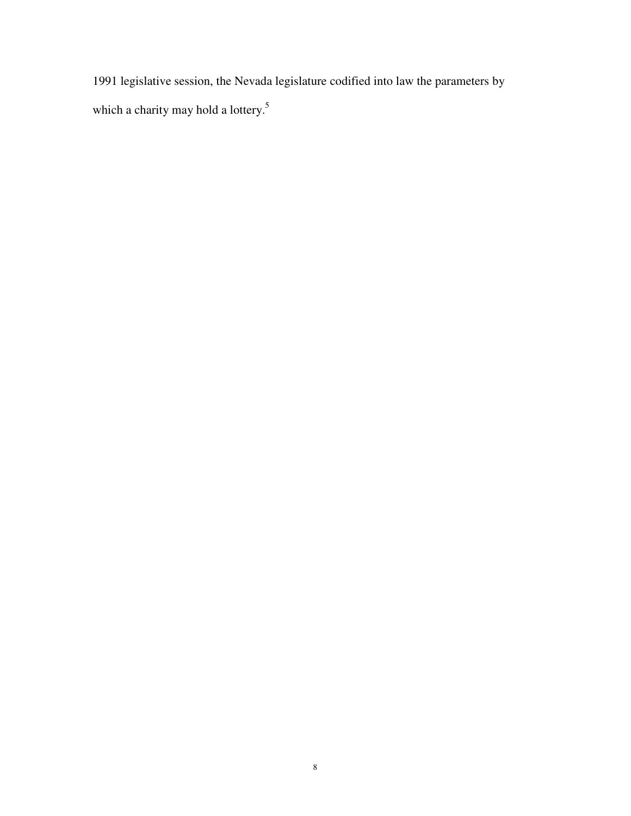1991 legislative session, the Nevada legislature codified into law the parameters by which a charity may hold a lottery.<sup>5</sup>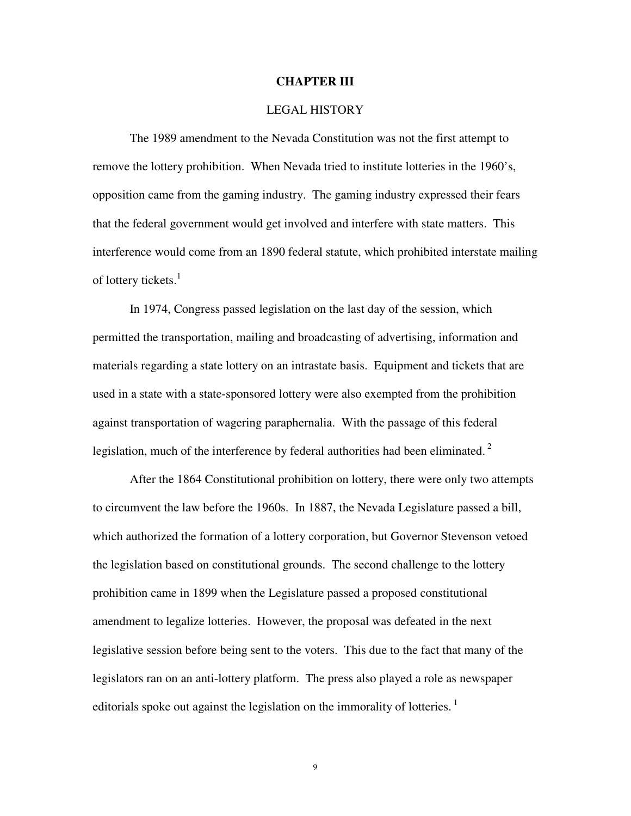#### **CHAPTER III**

#### LEGAL HISTORY

The 1989 amendment to the Nevada Constitution was not the first attempt to remove the lottery prohibition. When Nevada tried to institute lotteries in the 1960's, opposition came from the gaming industry. The gaming industry expressed their fears that the federal government would get involved and interfere with state matters. This interference would come from an 1890 federal statute, which prohibited interstate mailing of lottery tickets.<sup>1</sup>

 In 1974, Congress passed legislation on the last day of the session, which permitted the transportation, mailing and broadcasting of advertising, information and materials regarding a state lottery on an intrastate basis. Equipment and tickets that are used in a state with a state-sponsored lottery were also exempted from the prohibition against transportation of wagering paraphernalia. With the passage of this federal legislation, much of the interference by federal authorities had been eliminated.<sup>2</sup>

 After the 1864 Constitutional prohibition on lottery, there were only two attempts to circumvent the law before the 1960s. In 1887, the Nevada Legislature passed a bill, which authorized the formation of a lottery corporation, but Governor Stevenson vetoed the legislation based on constitutional grounds. The second challenge to the lottery prohibition came in 1899 when the Legislature passed a proposed constitutional amendment to legalize lotteries. However, the proposal was defeated in the next legislative session before being sent to the voters. This due to the fact that many of the legislators ran on an anti-lottery platform. The press also played a role as newspaper editorials spoke out against the legislation on the immorality of lotteries.<sup>1</sup>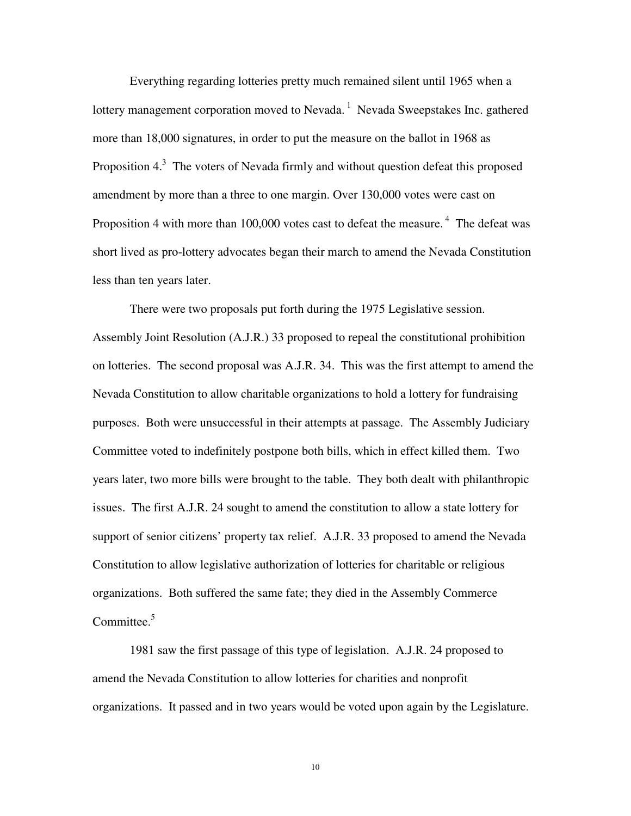Everything regarding lotteries pretty much remained silent until 1965 when a lottery management corporation moved to Nevada.<sup>1</sup> Nevada Sweepstakes Inc. gathered more than 18,000 signatures, in order to put the measure on the ballot in 1968 as Proposition  $4<sup>3</sup>$ . The voters of Nevada firmly and without question defeat this proposed amendment by more than a three to one margin. Over 130,000 votes were cast on Proposition 4 with more than 100,000 votes cast to defeat the measure.<sup>4</sup> The defeat was short lived as pro-lottery advocates began their march to amend the Nevada Constitution less than ten years later.

 There were two proposals put forth during the 1975 Legislative session. Assembly Joint Resolution (A.J.R.) 33 proposed to repeal the constitutional prohibition on lotteries. The second proposal was A.J.R. 34. This was the first attempt to amend the Nevada Constitution to allow charitable organizations to hold a lottery for fundraising purposes. Both were unsuccessful in their attempts at passage. The Assembly Judiciary Committee voted to indefinitely postpone both bills, which in effect killed them. Two years later, two more bills were brought to the table. They both dealt with philanthropic issues. The first A.J.R. 24 sought to amend the constitution to allow a state lottery for support of senior citizens' property tax relief. A.J.R. 33 proposed to amend the Nevada Constitution to allow legislative authorization of lotteries for charitable or religious organizations. Both suffered the same fate; they died in the Assembly Commerce Committee.<sup>5</sup>

 1981 saw the first passage of this type of legislation. A.J.R. 24 proposed to amend the Nevada Constitution to allow lotteries for charities and nonprofit organizations. It passed and in two years would be voted upon again by the Legislature.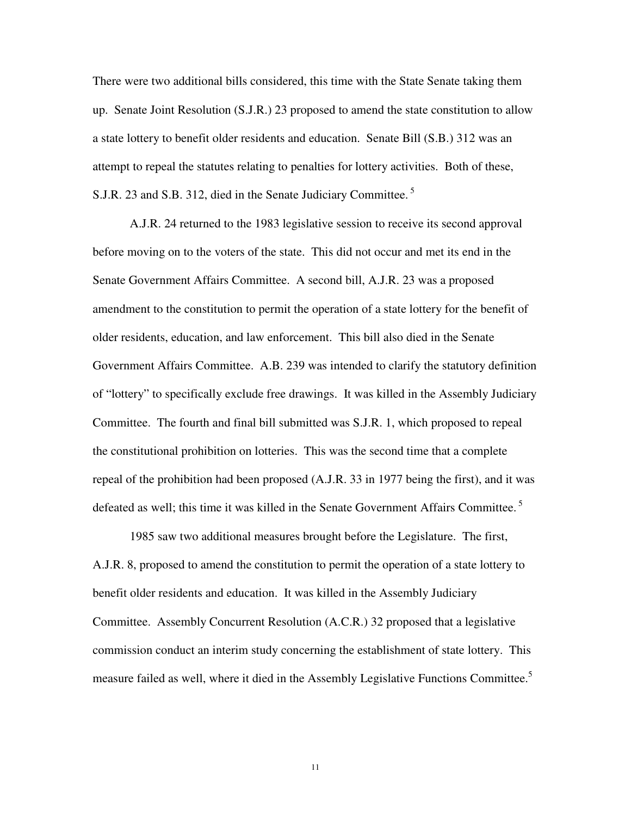There were two additional bills considered, this time with the State Senate taking them up. Senate Joint Resolution (S.J.R.) 23 proposed to amend the state constitution to allow a state lottery to benefit older residents and education. Senate Bill (S.B.) 312 was an attempt to repeal the statutes relating to penalties for lottery activities. Both of these, S.J.R. 23 and S.B. 312, died in the Senate Judiciary Committee.<sup>5</sup>

 A.J.R. 24 returned to the 1983 legislative session to receive its second approval before moving on to the voters of the state. This did not occur and met its end in the Senate Government Affairs Committee. A second bill, A.J.R. 23 was a proposed amendment to the constitution to permit the operation of a state lottery for the benefit of older residents, education, and law enforcement. This bill also died in the Senate Government Affairs Committee. A.B. 239 was intended to clarify the statutory definition of "lottery" to specifically exclude free drawings. It was killed in the Assembly Judiciary Committee. The fourth and final bill submitted was S.J.R. 1, which proposed to repeal the constitutional prohibition on lotteries. This was the second time that a complete repeal of the prohibition had been proposed (A.J.R. 33 in 1977 being the first), and it was defeated as well; this time it was killed in the Senate Government Affairs Committee.<sup>5</sup>

 1985 saw two additional measures brought before the Legislature. The first, A.J.R. 8, proposed to amend the constitution to permit the operation of a state lottery to benefit older residents and education. It was killed in the Assembly Judiciary Committee. Assembly Concurrent Resolution (A.C.R.) 32 proposed that a legislative commission conduct an interim study concerning the establishment of state lottery. This measure failed as well, where it died in the Assembly Legislative Functions Committee.<sup>5</sup>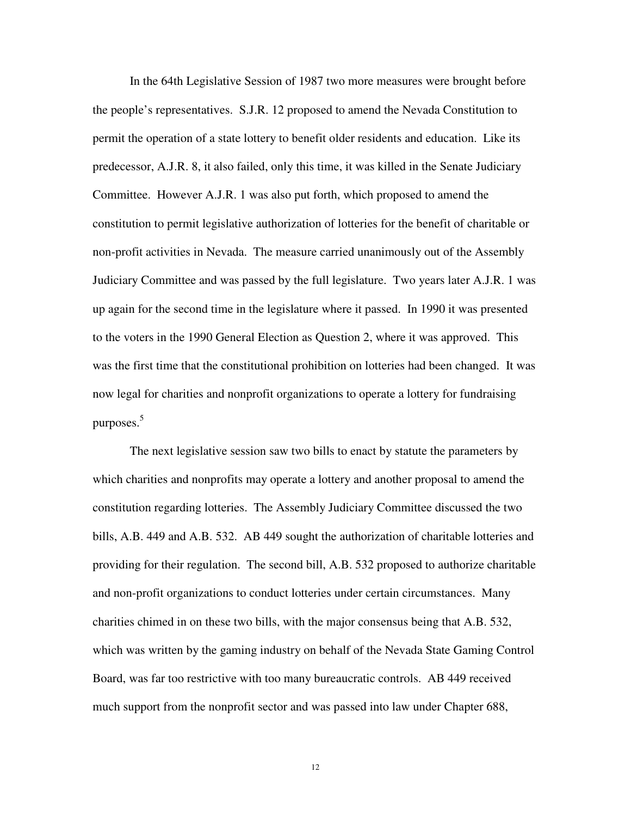In the 64th Legislative Session of 1987 two more measures were brought before the people's representatives. S.J.R. 12 proposed to amend the Nevada Constitution to permit the operation of a state lottery to benefit older residents and education. Like its predecessor, A.J.R. 8, it also failed, only this time, it was killed in the Senate Judiciary Committee. However A.J.R. 1 was also put forth, which proposed to amend the constitution to permit legislative authorization of lotteries for the benefit of charitable or non-profit activities in Nevada. The measure carried unanimously out of the Assembly Judiciary Committee and was passed by the full legislature. Two years later A.J.R. 1 was up again for the second time in the legislature where it passed. In 1990 it was presented to the voters in the 1990 General Election as Question 2, where it was approved. This was the first time that the constitutional prohibition on lotteries had been changed. It was now legal for charities and nonprofit organizations to operate a lottery for fundraising purposes. $5$ 

 The next legislative session saw two bills to enact by statute the parameters by which charities and nonprofits may operate a lottery and another proposal to amend the constitution regarding lotteries. The Assembly Judiciary Committee discussed the two bills, A.B. 449 and A.B. 532. AB 449 sought the authorization of charitable lotteries and providing for their regulation. The second bill, A.B. 532 proposed to authorize charitable and non-profit organizations to conduct lotteries under certain circumstances. Many charities chimed in on these two bills, with the major consensus being that A.B. 532, which was written by the gaming industry on behalf of the Nevada State Gaming Control Board, was far too restrictive with too many bureaucratic controls. AB 449 received much support from the nonprofit sector and was passed into law under Chapter 688,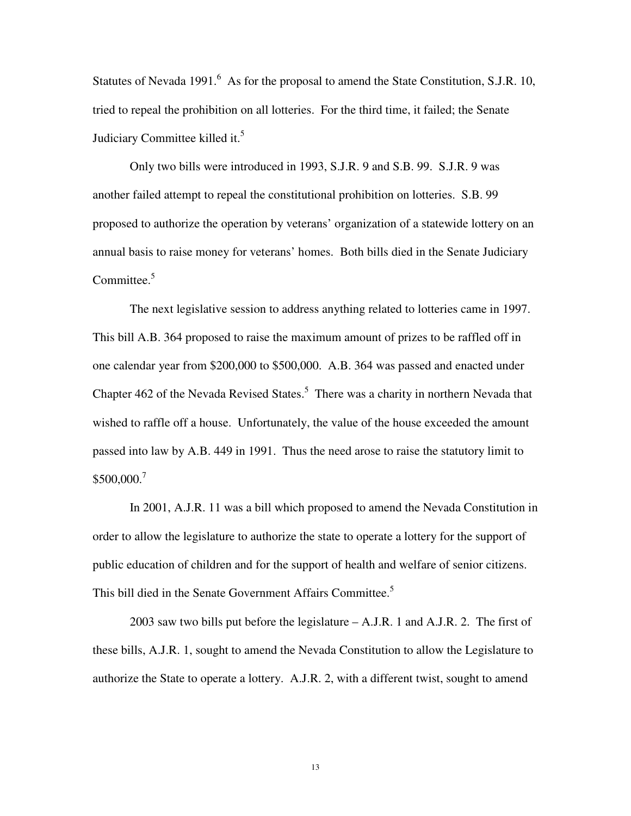Statutes of Nevada 1991. $^6$  As for the proposal to amend the State Constitution, S.J.R. 10, tried to repeal the prohibition on all lotteries. For the third time, it failed; the Senate Judiciary Committee killed it. $5$ 

 Only two bills were introduced in 1993, S.J.R. 9 and S.B. 99. S.J.R. 9 was another failed attempt to repeal the constitutional prohibition on lotteries. S.B. 99 proposed to authorize the operation by veterans' organization of a statewide lottery on an annual basis to raise money for veterans' homes. Both bills died in the Senate Judiciary Committee. $5$ 

 The next legislative session to address anything related to lotteries came in 1997. This bill A.B. 364 proposed to raise the maximum amount of prizes to be raffled off in one calendar year from \$200,000 to \$500,000. A.B. 364 was passed and enacted under Chapter  $462$  of the Nevada Revised States.<sup>5</sup> There was a charity in northern Nevada that wished to raffle off a house. Unfortunately, the value of the house exceeded the amount passed into law by A.B. 449 in 1991. Thus the need arose to raise the statutory limit to \$500,000.<sup>7</sup>

 In 2001, A.J.R. 11 was a bill which proposed to amend the Nevada Constitution in order to allow the legislature to authorize the state to operate a lottery for the support of public education of children and for the support of health and welfare of senior citizens. This bill died in the Senate Government Affairs Committee.<sup>5</sup>

 2003 saw two bills put before the legislature – A.J.R. 1 and A.J.R. 2. The first of these bills, A.J.R. 1, sought to amend the Nevada Constitution to allow the Legislature to authorize the State to operate a lottery. A.J.R. 2, with a different twist, sought to amend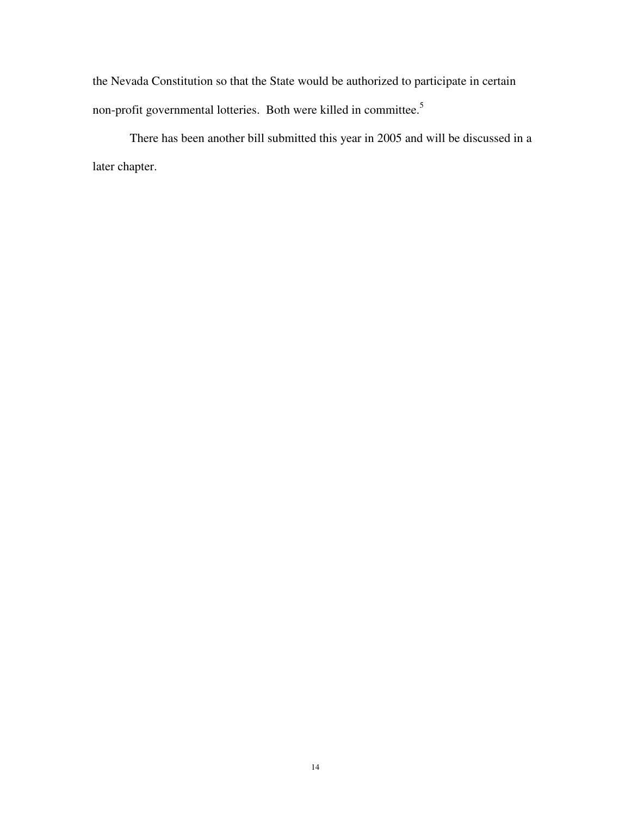the Nevada Constitution so that the State would be authorized to participate in certain non-profit governmental lotteries. Both were killed in committee.<sup>5</sup>

 There has been another bill submitted this year in 2005 and will be discussed in a later chapter.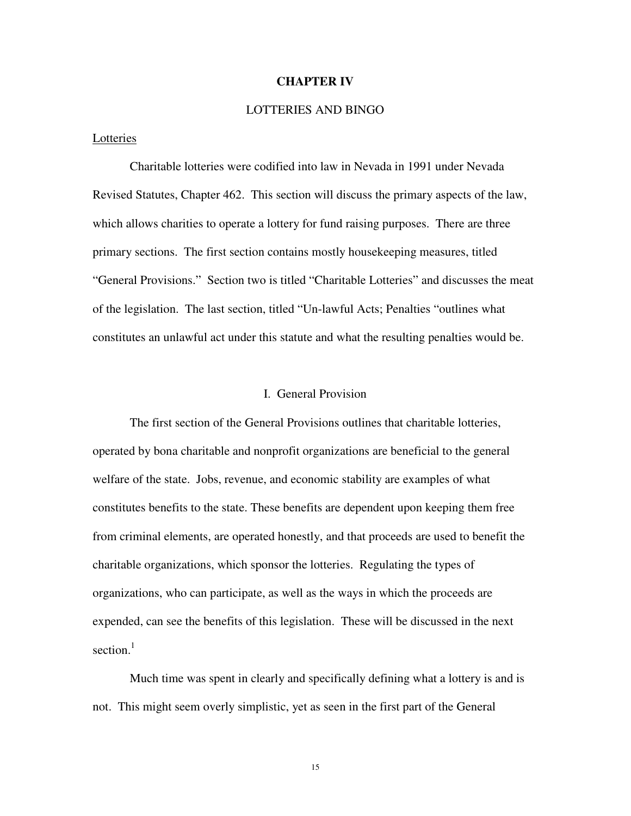#### **CHAPTER IV**

# LOTTERIES AND BINGO

#### Lotteries

 Charitable lotteries were codified into law in Nevada in 1991 under Nevada Revised Statutes, Chapter 462. This section will discuss the primary aspects of the law, which allows charities to operate a lottery for fund raising purposes. There are three primary sections. The first section contains mostly housekeeping measures, titled "General Provisions." Section two is titled "Charitable Lotteries" and discusses the meat of the legislation. The last section, titled "Un-lawful Acts; Penalties "outlines what constitutes an unlawful act under this statute and what the resulting penalties would be.

#### I. General Provision

 The first section of the General Provisions outlines that charitable lotteries, operated by bona charitable and nonprofit organizations are beneficial to the general welfare of the state. Jobs, revenue, and economic stability are examples of what constitutes benefits to the state. These benefits are dependent upon keeping them free from criminal elements, are operated honestly, and that proceeds are used to benefit the charitable organizations, which sponsor the lotteries. Regulating the types of organizations, who can participate, as well as the ways in which the proceeds are expended, can see the benefits of this legislation. These will be discussed in the next section $1$ 

 Much time was spent in clearly and specifically defining what a lottery is and is not. This might seem overly simplistic, yet as seen in the first part of the General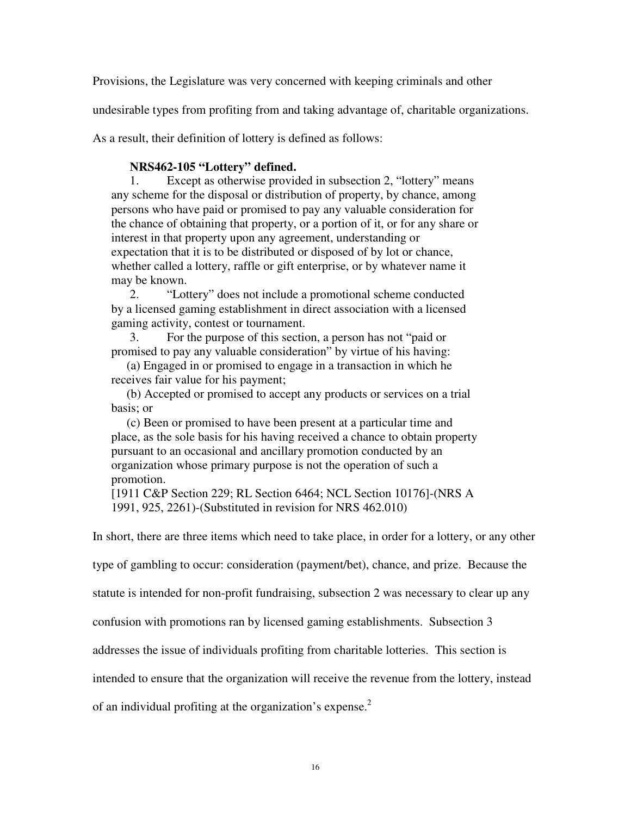Provisions, the Legislature was very concerned with keeping criminals and other

undesirable types from profiting from and taking advantage of, charitable organizations.

As a result, their definition of lottery is defined as follows:

# **NRS462-105 "Lottery" defined.**

1. Except as otherwise provided in subsection 2, "lottery" means any scheme for the disposal or distribution of property, by chance, among persons who have paid or promised to pay any valuable consideration for the chance of obtaining that property, or a portion of it, or for any share or interest in that property upon any agreement, understanding or expectation that it is to be distributed or disposed of by lot or chance, whether called a lottery, raffle or gift enterprise, or by whatever name it may be known.

2. "Lottery" does not include a promotional scheme conducted by a licensed gaming establishment in direct association with a licensed gaming activity, contest or tournament.

3. For the purpose of this section, a person has not "paid or promised to pay any valuable consideration" by virtue of his having:

 (a) Engaged in or promised to engage in a transaction in which he receives fair value for his payment;

 (b) Accepted or promised to accept any products or services on a trial basis; or

 (c) Been or promised to have been present at a particular time and place, as the sole basis for his having received a chance to obtain property pursuant to an occasional and ancillary promotion conducted by an organization whose primary purpose is not the operation of such a promotion.

[1911 C&P Section 229; RL Section 6464; NCL Section 10176]-(NRS A 1991, 925, 2261)-(Substituted in revision for NRS 462.010)

In short, there are three items which need to take place, in order for a lottery, or any other

type of gambling to occur: consideration (payment/bet), chance, and prize. Because the

statute is intended for non-profit fundraising, subsection 2 was necessary to clear up any

confusion with promotions ran by licensed gaming establishments. Subsection 3

addresses the issue of individuals profiting from charitable lotteries. This section is

intended to ensure that the organization will receive the revenue from the lottery, instead

of an individual profiting at the organization's expense.<sup>2</sup>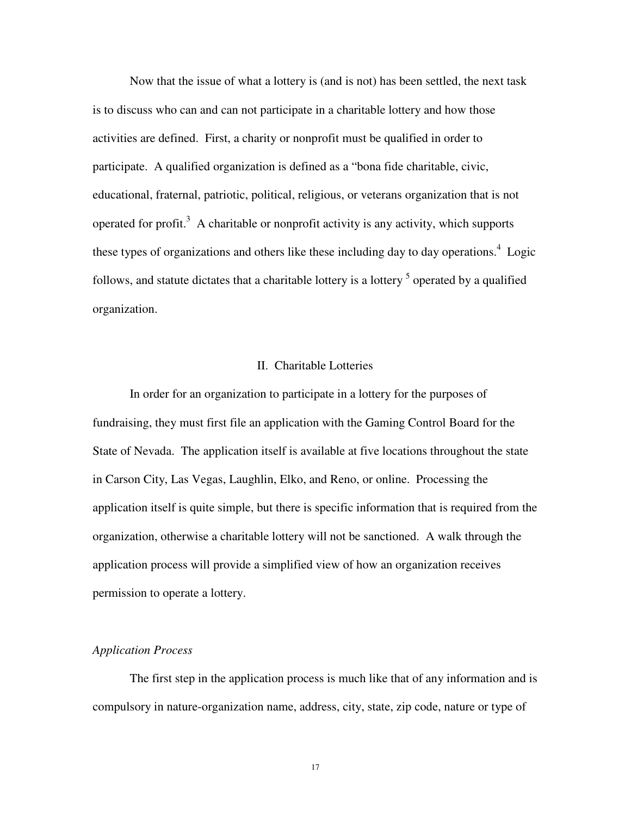Now that the issue of what a lottery is (and is not) has been settled, the next task is to discuss who can and can not participate in a charitable lottery and how those activities are defined. First, a charity or nonprofit must be qualified in order to participate. A qualified organization is defined as a "bona fide charitable, civic, educational, fraternal, patriotic, political, religious, or veterans organization that is not operated for profit.<sup>3</sup> A charitable or nonprofit activity is any activity, which supports these types of organizations and others like these including day to day operations. $4$  Logic follows, and statute dictates that a charitable lottery is a lottery  $<sup>5</sup>$  operated by a qualified</sup> organization.

#### II. Charitable Lotteries

 In order for an organization to participate in a lottery for the purposes of fundraising, they must first file an application with the Gaming Control Board for the State of Nevada. The application itself is available at five locations throughout the state in Carson City, Las Vegas, Laughlin, Elko, and Reno, or online. Processing the application itself is quite simple, but there is specific information that is required from the organization, otherwise a charitable lottery will not be sanctioned. A walk through the application process will provide a simplified view of how an organization receives permission to operate a lottery.

#### *Application Process*

The first step in the application process is much like that of any information and is compulsory in nature-organization name, address, city, state, zip code, nature or type of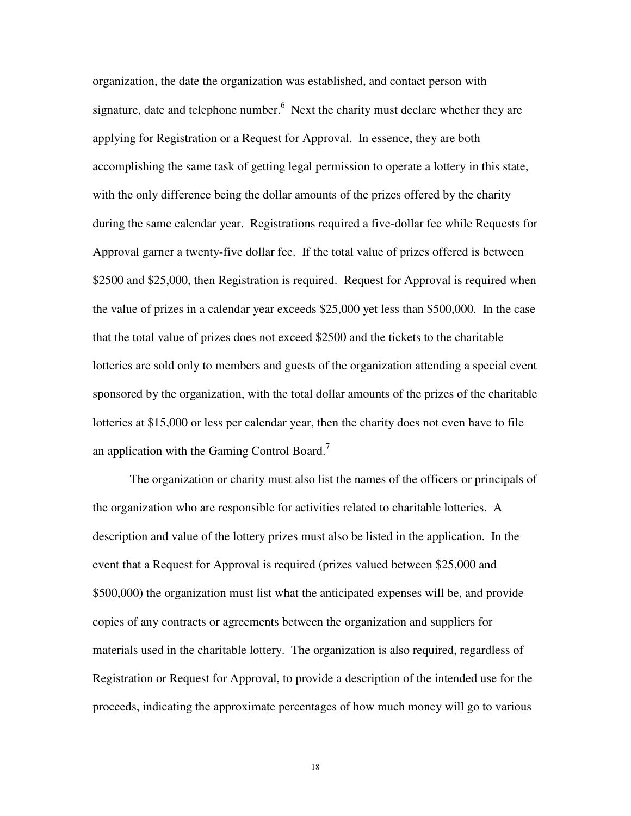organization, the date the organization was established, and contact person with signature, date and telephone number. $<sup>6</sup>$  Next the charity must declare whether they are</sup> applying for Registration or a Request for Approval. In essence, they are both accomplishing the same task of getting legal permission to operate a lottery in this state, with the only difference being the dollar amounts of the prizes offered by the charity during the same calendar year. Registrations required a five-dollar fee while Requests for Approval garner a twenty-five dollar fee. If the total value of prizes offered is between \$2500 and \$25,000, then Registration is required. Request for Approval is required when the value of prizes in a calendar year exceeds \$25,000 yet less than \$500,000. In the case that the total value of prizes does not exceed \$2500 and the tickets to the charitable lotteries are sold only to members and guests of the organization attending a special event sponsored by the organization, with the total dollar amounts of the prizes of the charitable lotteries at \$15,000 or less per calendar year, then the charity does not even have to file an application with the Gaming Control Board.<sup>7</sup>

 The organization or charity must also list the names of the officers or principals of the organization who are responsible for activities related to charitable lotteries. A description and value of the lottery prizes must also be listed in the application. In the event that a Request for Approval is required (prizes valued between \$25,000 and \$500,000) the organization must list what the anticipated expenses will be, and provide copies of any contracts or agreements between the organization and suppliers for materials used in the charitable lottery. The organization is also required, regardless of Registration or Request for Approval, to provide a description of the intended use for the proceeds, indicating the approximate percentages of how much money will go to various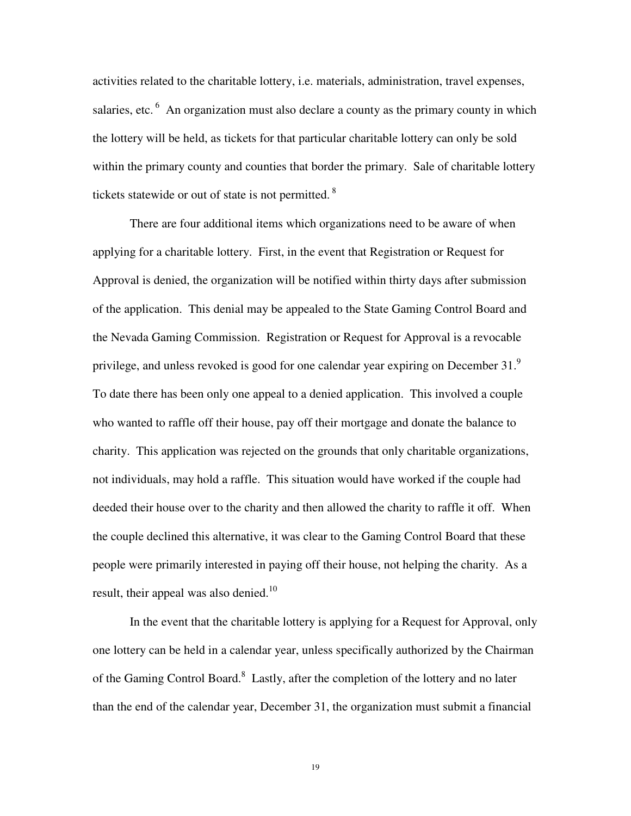activities related to the charitable lottery, i.e. materials, administration, travel expenses, salaries, etc.<sup>6</sup> An organization must also declare a county as the primary county in which the lottery will be held, as tickets for that particular charitable lottery can only be sold within the primary county and counties that border the primary. Sale of charitable lottery tickets statewide or out of state is not permitted.<sup>8</sup>

 There are four additional items which organizations need to be aware of when applying for a charitable lottery. First, in the event that Registration or Request for Approval is denied, the organization will be notified within thirty days after submission of the application. This denial may be appealed to the State Gaming Control Board and the Nevada Gaming Commission. Registration or Request for Approval is a revocable privilege, and unless revoked is good for one calendar year expiring on December 31. $^{9}$ To date there has been only one appeal to a denied application. This involved a couple who wanted to raffle off their house, pay off their mortgage and donate the balance to charity. This application was rejected on the grounds that only charitable organizations, not individuals, may hold a raffle. This situation would have worked if the couple had deeded their house over to the charity and then allowed the charity to raffle it off. When the couple declined this alternative, it was clear to the Gaming Control Board that these people were primarily interested in paying off their house, not helping the charity. As a result, their appeal was also denied. $10$ 

In the event that the charitable lottery is applying for a Request for Approval, only one lottery can be held in a calendar year, unless specifically authorized by the Chairman of the Gaming Control Board.<sup>8</sup> Lastly, after the completion of the lottery and no later than the end of the calendar year, December 31, the organization must submit a financial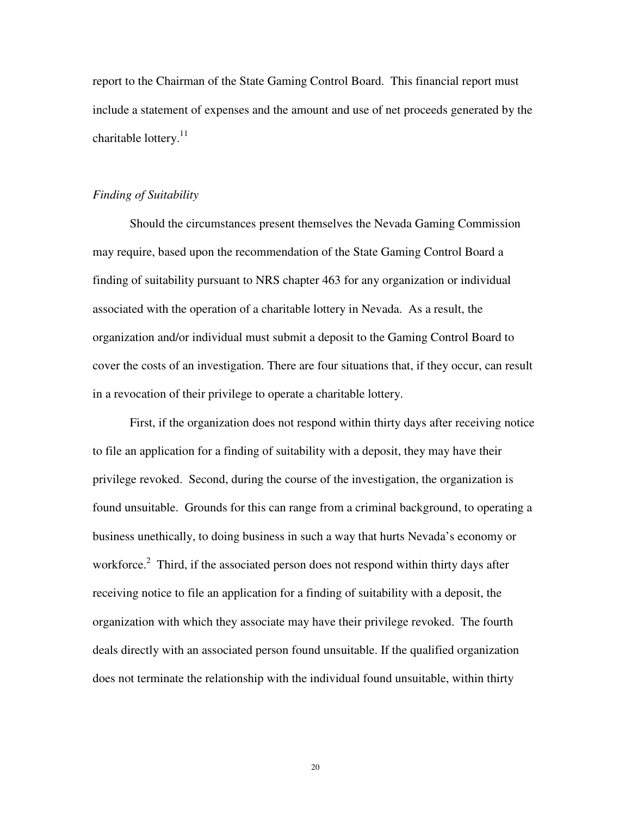report to the Chairman of the State Gaming Control Board. This financial report must include a statement of expenses and the amount and use of net proceeds generated by the charitable lottery.<sup>11</sup>

# *Finding of Suitability*

 Should the circumstances present themselves the Nevada Gaming Commission may require, based upon the recommendation of the State Gaming Control Board a finding of suitability pursuant to NRS chapter 463 for any organization or individual associated with the operation of a charitable lottery in Nevada. As a result, the organization and/or individual must submit a deposit to the Gaming Control Board to cover the costs of an investigation. There are four situations that, if they occur, can result in a revocation of their privilege to operate a charitable lottery.

First, if the organization does not respond within thirty days after receiving notice to file an application for a finding of suitability with a deposit, they may have their privilege revoked. Second, during the course of the investigation, the organization is found unsuitable. Grounds for this can range from a criminal background, to operating a business unethically, to doing business in such a way that hurts Nevada's economy or workforce.<sup>2</sup> Third, if the associated person does not respond within thirty days after receiving notice to file an application for a finding of suitability with a deposit, the organization with which they associate may have their privilege revoked. The fourth deals directly with an associated person found unsuitable. If the qualified organization does not terminate the relationship with the individual found unsuitable, within thirty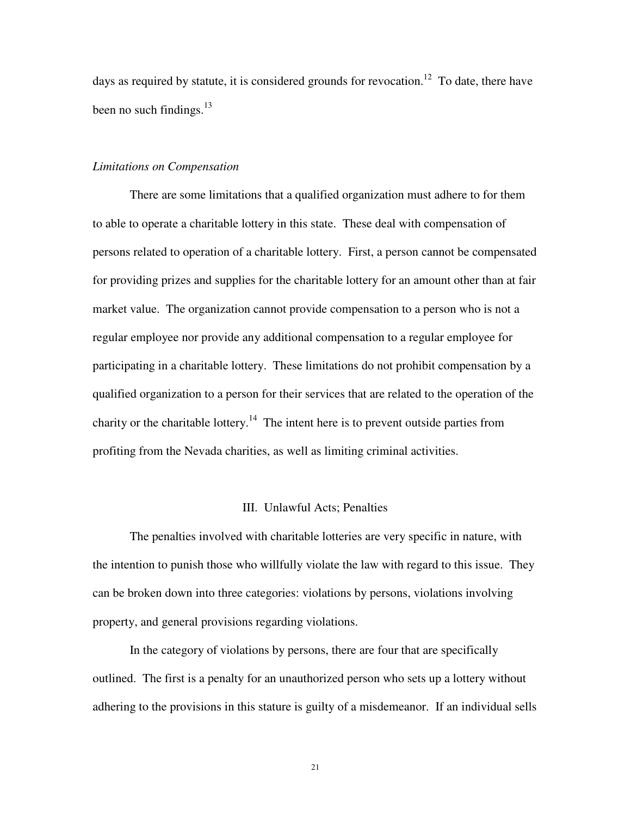days as required by statute, it is considered grounds for revocation.<sup>12</sup> To date, there have been no such findings. $^{13}$ 

#### *Limitations on Compensation*

 There are some limitations that a qualified organization must adhere to for them to able to operate a charitable lottery in this state. These deal with compensation of persons related to operation of a charitable lottery. First, a person cannot be compensated for providing prizes and supplies for the charitable lottery for an amount other than at fair market value. The organization cannot provide compensation to a person who is not a regular employee nor provide any additional compensation to a regular employee for participating in a charitable lottery. These limitations do not prohibit compensation by a qualified organization to a person for their services that are related to the operation of the charity or the charitable lottery.<sup>14</sup> The intent here is to prevent outside parties from profiting from the Nevada charities, as well as limiting criminal activities.

#### III. Unlawful Acts; Penalties

 The penalties involved with charitable lotteries are very specific in nature, with the intention to punish those who willfully violate the law with regard to this issue. They can be broken down into three categories: violations by persons, violations involving property, and general provisions regarding violations.

 In the category of violations by persons, there are four that are specifically outlined. The first is a penalty for an unauthorized person who sets up a lottery without adhering to the provisions in this stature is guilty of a misdemeanor. If an individual sells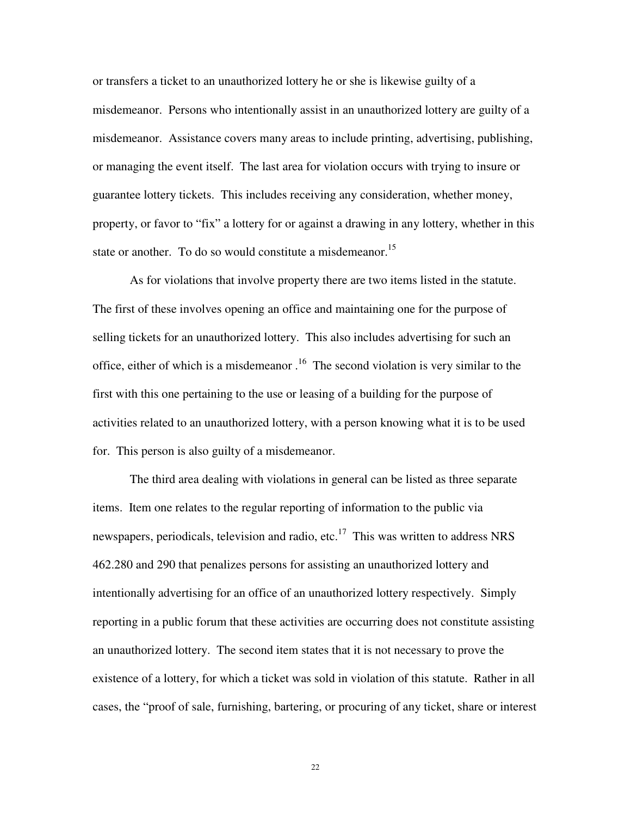or transfers a ticket to an unauthorized lottery he or she is likewise guilty of a misdemeanor. Persons who intentionally assist in an unauthorized lottery are guilty of a misdemeanor. Assistance covers many areas to include printing, advertising, publishing, or managing the event itself. The last area for violation occurs with trying to insure or guarantee lottery tickets. This includes receiving any consideration, whether money, property, or favor to "fix" a lottery for or against a drawing in any lottery, whether in this state or another. To do so would constitute a misdemeanor.<sup>15</sup>

 As for violations that involve property there are two items listed in the statute. The first of these involves opening an office and maintaining one for the purpose of selling tickets for an unauthorized lottery. This also includes advertising for such an office, either of which is a misdemeanor  $1<sup>6</sup>$ . The second violation is very similar to the first with this one pertaining to the use or leasing of a building for the purpose of activities related to an unauthorized lottery, with a person knowing what it is to be used for. This person is also guilty of a misdemeanor.

 The third area dealing with violations in general can be listed as three separate items. Item one relates to the regular reporting of information to the public via newspapers, periodicals, television and radio, etc. $17$  This was written to address NRS 462.280 and 290 that penalizes persons for assisting an unauthorized lottery and intentionally advertising for an office of an unauthorized lottery respectively. Simply reporting in a public forum that these activities are occurring does not constitute assisting an unauthorized lottery. The second item states that it is not necessary to prove the existence of a lottery, for which a ticket was sold in violation of this statute. Rather in all cases, the "proof of sale, furnishing, bartering, or procuring of any ticket, share or interest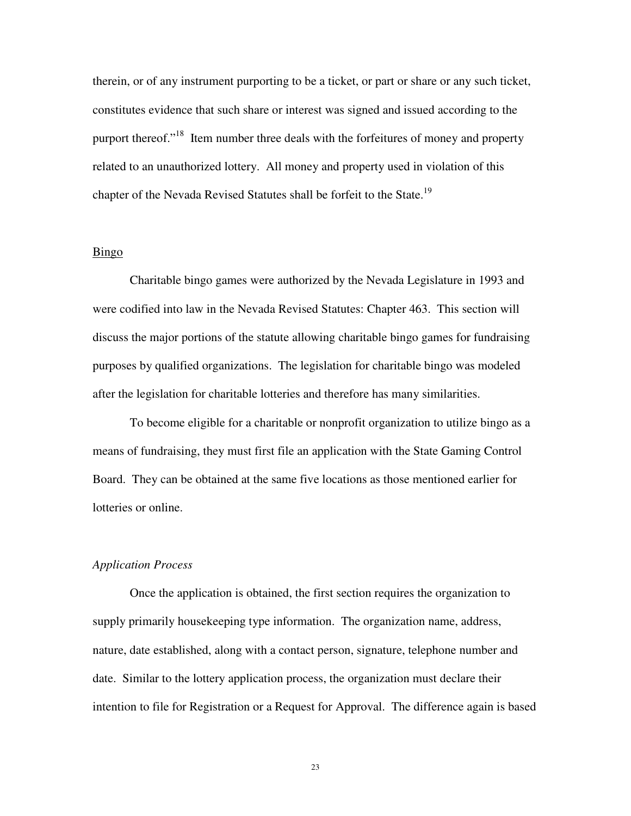therein, or of any instrument purporting to be a ticket, or part or share or any such ticket, constitutes evidence that such share or interest was signed and issued according to the purport thereof."<sup>18</sup> Item number three deals with the forfeitures of money and property related to an unauthorized lottery. All money and property used in violation of this chapter of the Nevada Revised Statutes shall be forfeit to the State.<sup>19</sup>

#### Bingo

 Charitable bingo games were authorized by the Nevada Legislature in 1993 and were codified into law in the Nevada Revised Statutes: Chapter 463. This section will discuss the major portions of the statute allowing charitable bingo games for fundraising purposes by qualified organizations. The legislation for charitable bingo was modeled after the legislation for charitable lotteries and therefore has many similarities.

 To become eligible for a charitable or nonprofit organization to utilize bingo as a means of fundraising, they must first file an application with the State Gaming Control Board. They can be obtained at the same five locations as those mentioned earlier for lotteries or online.

#### *Application Process*

 Once the application is obtained, the first section requires the organization to supply primarily housekeeping type information. The organization name, address, nature, date established, along with a contact person, signature, telephone number and date. Similar to the lottery application process, the organization must declare their intention to file for Registration or a Request for Approval. The difference again is based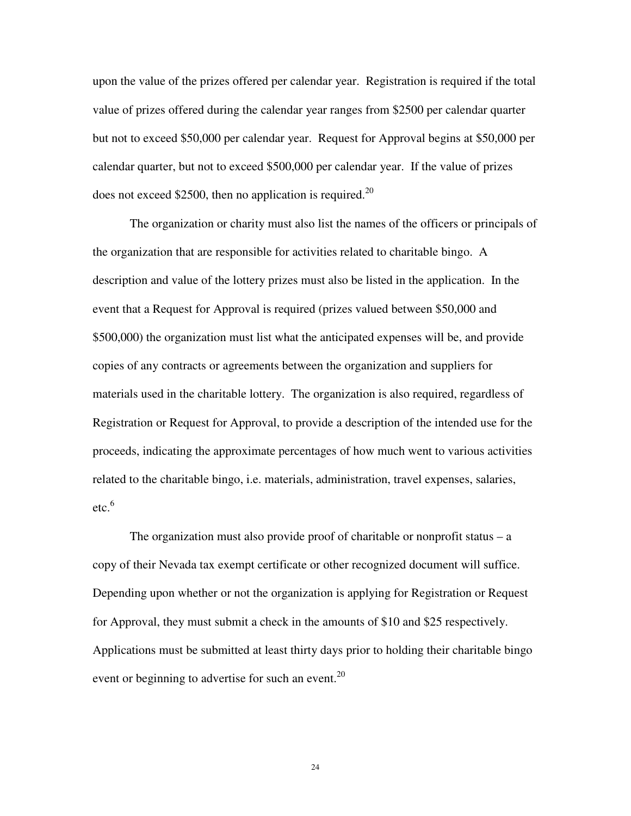upon the value of the prizes offered per calendar year. Registration is required if the total value of prizes offered during the calendar year ranges from \$2500 per calendar quarter but not to exceed \$50,000 per calendar year. Request for Approval begins at \$50,000 per calendar quarter, but not to exceed \$500,000 per calendar year. If the value of prizes does not exceed \$2500, then no application is required.<sup>20</sup>

 The organization or charity must also list the names of the officers or principals of the organization that are responsible for activities related to charitable bingo. A description and value of the lottery prizes must also be listed in the application. In the event that a Request for Approval is required (prizes valued between \$50,000 and \$500,000) the organization must list what the anticipated expenses will be, and provide copies of any contracts or agreements between the organization and suppliers for materials used in the charitable lottery. The organization is also required, regardless of Registration or Request for Approval, to provide a description of the intended use for the proceeds, indicating the approximate percentages of how much went to various activities related to the charitable bingo, i.e. materials, administration, travel expenses, salaries,  $etc.<sup>6</sup>$ 

The organization must also provide proof of charitable or nonprofit status  $-$  a copy of their Nevada tax exempt certificate or other recognized document will suffice. Depending upon whether or not the organization is applying for Registration or Request for Approval, they must submit a check in the amounts of \$10 and \$25 respectively. Applications must be submitted at least thirty days prior to holding their charitable bingo event or beginning to advertise for such an event.<sup>20</sup>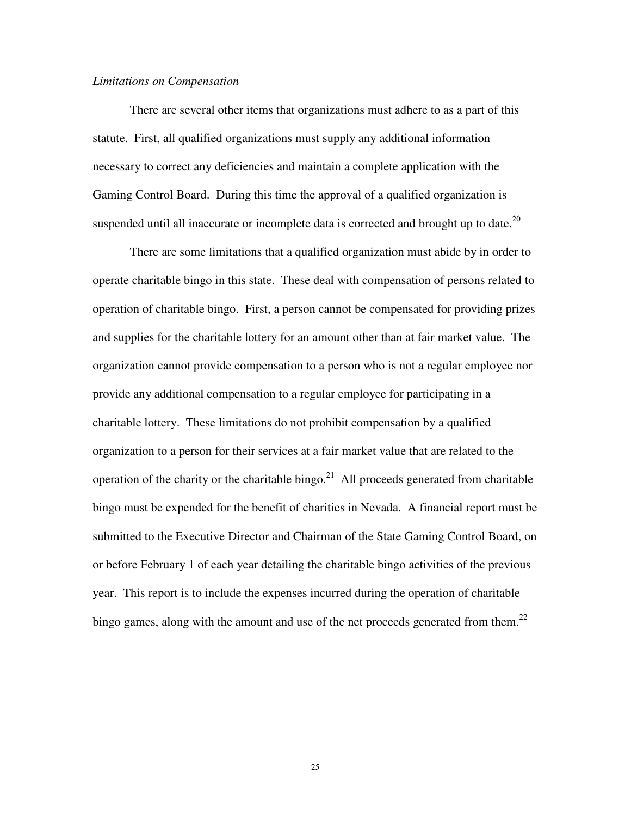#### *Limitations on Compensation*

 There are several other items that organizations must adhere to as a part of this statute. First, all qualified organizations must supply any additional information necessary to correct any deficiencies and maintain a complete application with the Gaming Control Board. During this time the approval of a qualified organization is suspended until all inaccurate or incomplete data is corrected and brought up to date.<sup>20</sup>

 There are some limitations that a qualified organization must abide by in order to operate charitable bingo in this state. These deal with compensation of persons related to operation of charitable bingo. First, a person cannot be compensated for providing prizes and supplies for the charitable lottery for an amount other than at fair market value. The organization cannot provide compensation to a person who is not a regular employee nor provide any additional compensation to a regular employee for participating in a charitable lottery. These limitations do not prohibit compensation by a qualified organization to a person for their services at a fair market value that are related to the operation of the charity or the charitable bingo.<sup>21</sup> All proceeds generated from charitable bingo must be expended for the benefit of charities in Nevada. A financial report must be submitted to the Executive Director and Chairman of the State Gaming Control Board, on or before February 1 of each year detailing the charitable bingo activities of the previous year. This report is to include the expenses incurred during the operation of charitable bingo games, along with the amount and use of the net proceeds generated from them.<sup>22</sup>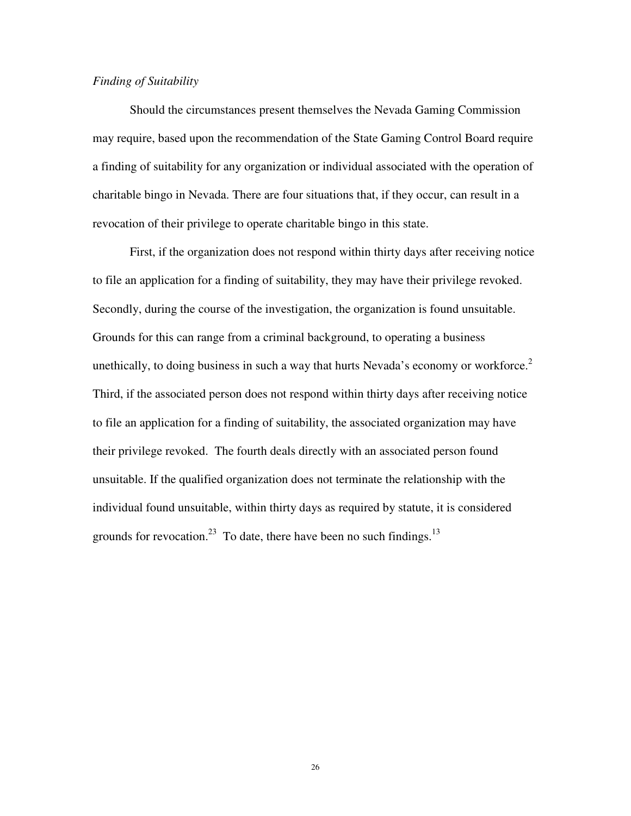#### *Finding of Suitability*

 Should the circumstances present themselves the Nevada Gaming Commission may require, based upon the recommendation of the State Gaming Control Board require a finding of suitability for any organization or individual associated with the operation of charitable bingo in Nevada. There are four situations that, if they occur, can result in a revocation of their privilege to operate charitable bingo in this state.

First, if the organization does not respond within thirty days after receiving notice to file an application for a finding of suitability, they may have their privilege revoked. Secondly, during the course of the investigation, the organization is found unsuitable. Grounds for this can range from a criminal background, to operating a business unethically, to doing business in such a way that hurts Nevada's economy or workforce.<sup>2</sup> Third, if the associated person does not respond within thirty days after receiving notice to file an application for a finding of suitability, the associated organization may have their privilege revoked. The fourth deals directly with an associated person found unsuitable. If the qualified organization does not terminate the relationship with the individual found unsuitable, within thirty days as required by statute, it is considered grounds for revocation.<sup>23</sup> To date, there have been no such findings.<sup>13</sup>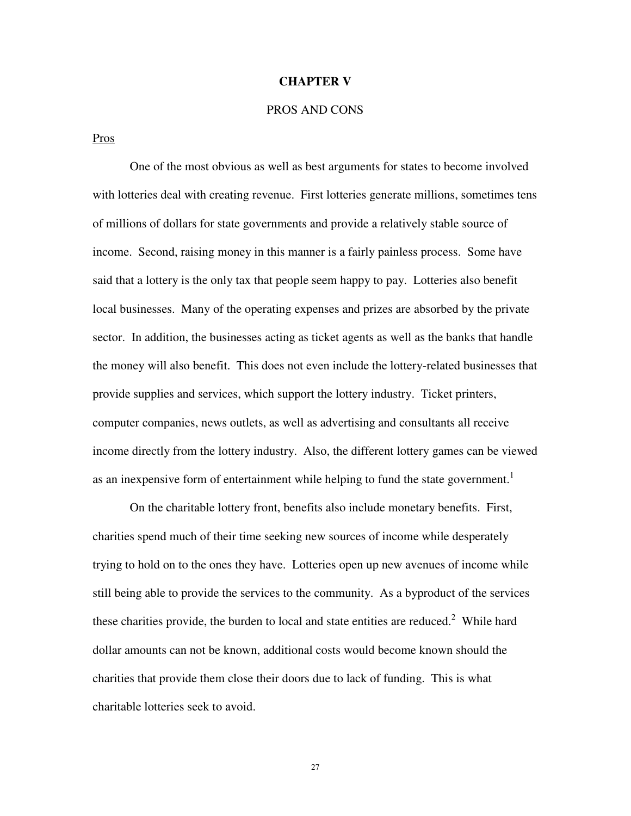#### **CHAPTER V**

# PROS AND CONS

Pros

 One of the most obvious as well as best arguments for states to become involved with lotteries deal with creating revenue. First lotteries generate millions, sometimes tens of millions of dollars for state governments and provide a relatively stable source of income. Second, raising money in this manner is a fairly painless process. Some have said that a lottery is the only tax that people seem happy to pay. Lotteries also benefit local businesses. Many of the operating expenses and prizes are absorbed by the private sector. In addition, the businesses acting as ticket agents as well as the banks that handle the money will also benefit. This does not even include the lottery-related businesses that provide supplies and services, which support the lottery industry. Ticket printers, computer companies, news outlets, as well as advertising and consultants all receive income directly from the lottery industry. Also, the different lottery games can be viewed as an inexpensive form of entertainment while helping to fund the state government.<sup>1</sup>

 On the charitable lottery front, benefits also include monetary benefits. First, charities spend much of their time seeking new sources of income while desperately trying to hold on to the ones they have. Lotteries open up new avenues of income while still being able to provide the services to the community. As a byproduct of the services these charities provide, the burden to local and state entities are reduced. $2$  While hard dollar amounts can not be known, additional costs would become known should the charities that provide them close their doors due to lack of funding. This is what charitable lotteries seek to avoid.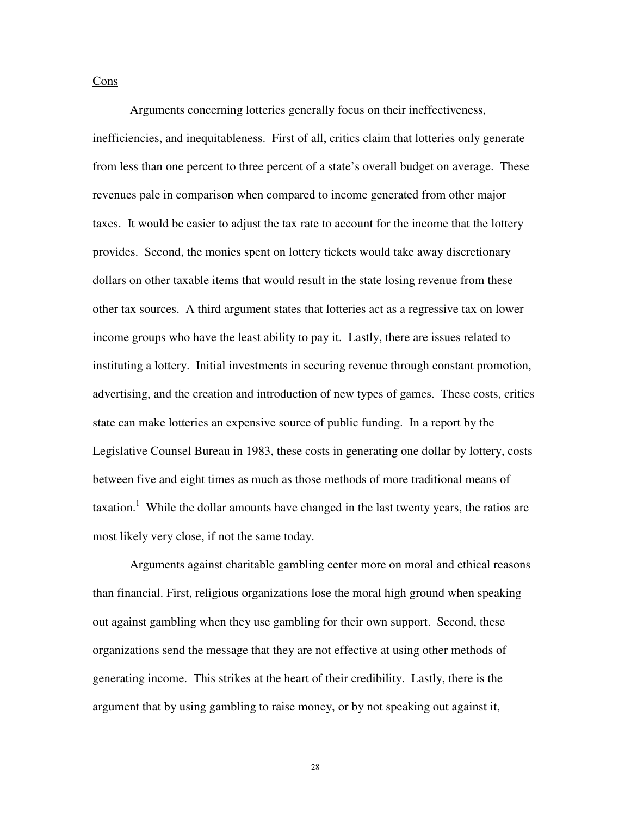Cons

 Arguments concerning lotteries generally focus on their ineffectiveness, inefficiencies, and inequitableness. First of all, critics claim that lotteries only generate from less than one percent to three percent of a state's overall budget on average. These revenues pale in comparison when compared to income generated from other major taxes. It would be easier to adjust the tax rate to account for the income that the lottery provides. Second, the monies spent on lottery tickets would take away discretionary dollars on other taxable items that would result in the state losing revenue from these other tax sources. A third argument states that lotteries act as a regressive tax on lower income groups who have the least ability to pay it. Lastly, there are issues related to instituting a lottery. Initial investments in securing revenue through constant promotion, advertising, and the creation and introduction of new types of games. These costs, critics state can make lotteries an expensive source of public funding. In a report by the Legislative Counsel Bureau in 1983, these costs in generating one dollar by lottery, costs between five and eight times as much as those methods of more traditional means of taxation.<sup>1</sup> While the dollar amounts have changed in the last twenty years, the ratios are most likely very close, if not the same today.

 Arguments against charitable gambling center more on moral and ethical reasons than financial. First, religious organizations lose the moral high ground when speaking out against gambling when they use gambling for their own support. Second, these organizations send the message that they are not effective at using other methods of generating income. This strikes at the heart of their credibility. Lastly, there is the argument that by using gambling to raise money, or by not speaking out against it,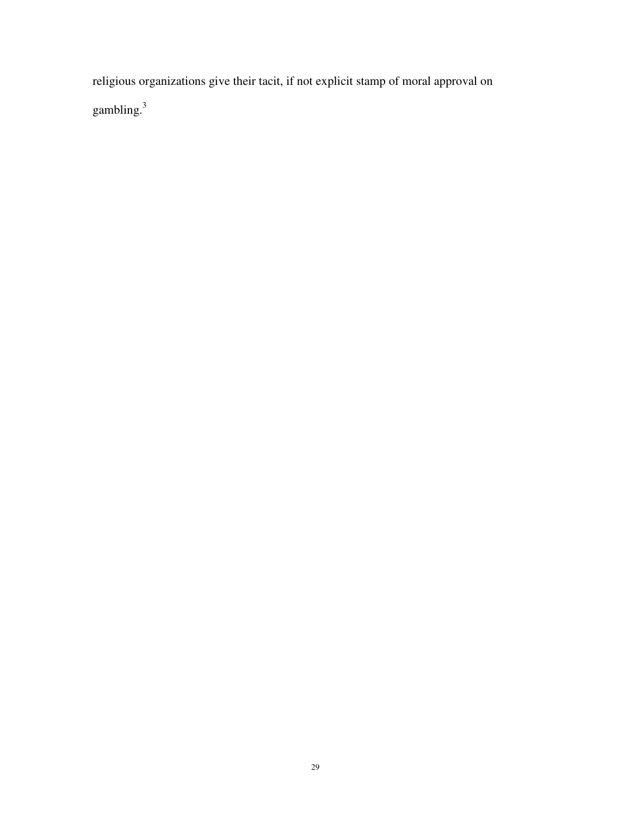religious organizations give their tacit, if not explicit stamp of moral approval on gambling.<sup>3</sup>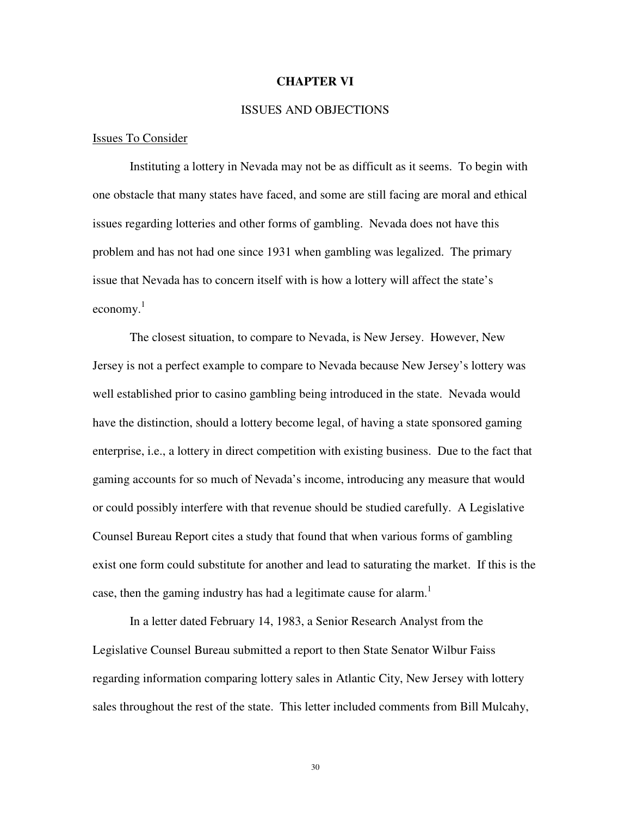#### **CHAPTER VI**

#### ISSUES AND OBJECTIONS

#### Issues To Consider

 Instituting a lottery in Nevada may not be as difficult as it seems. To begin with one obstacle that many states have faced, and some are still facing are moral and ethical issues regarding lotteries and other forms of gambling. Nevada does not have this problem and has not had one since 1931 when gambling was legalized. The primary issue that Nevada has to concern itself with is how a lottery will affect the state's economy. 1

 The closest situation, to compare to Nevada, is New Jersey. However, New Jersey is not a perfect example to compare to Nevada because New Jersey's lottery was well established prior to casino gambling being introduced in the state. Nevada would have the distinction, should a lottery become legal, of having a state sponsored gaming enterprise, i.e., a lottery in direct competition with existing business. Due to the fact that gaming accounts for so much of Nevada's income, introducing any measure that would or could possibly interfere with that revenue should be studied carefully. A Legislative Counsel Bureau Report cites a study that found that when various forms of gambling exist one form could substitute for another and lead to saturating the market. If this is the case, then the gaming industry has had a legitimate cause for alarm.<sup>1</sup>

 In a letter dated February 14, 1983, a Senior Research Analyst from the Legislative Counsel Bureau submitted a report to then State Senator Wilbur Faiss regarding information comparing lottery sales in Atlantic City, New Jersey with lottery sales throughout the rest of the state. This letter included comments from Bill Mulcahy,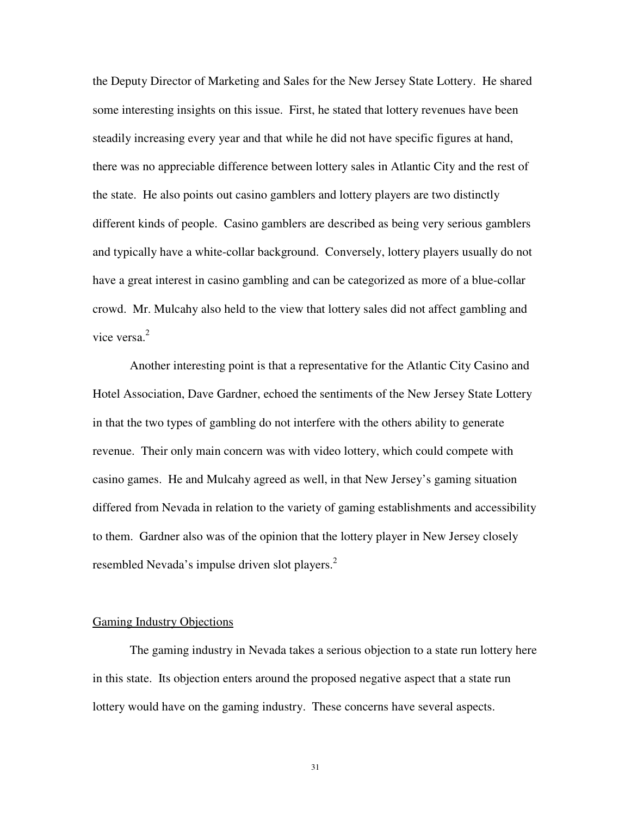the Deputy Director of Marketing and Sales for the New Jersey State Lottery. He shared some interesting insights on this issue. First, he stated that lottery revenues have been steadily increasing every year and that while he did not have specific figures at hand, there was no appreciable difference between lottery sales in Atlantic City and the rest of the state. He also points out casino gamblers and lottery players are two distinctly different kinds of people. Casino gamblers are described as being very serious gamblers and typically have a white-collar background. Conversely, lottery players usually do not have a great interest in casino gambling and can be categorized as more of a blue-collar crowd. Mr. Mulcahy also held to the view that lottery sales did not affect gambling and vice versa. $2$ 

 Another interesting point is that a representative for the Atlantic City Casino and Hotel Association, Dave Gardner, echoed the sentiments of the New Jersey State Lottery in that the two types of gambling do not interfere with the others ability to generate revenue. Their only main concern was with video lottery, which could compete with casino games. He and Mulcahy agreed as well, in that New Jersey's gaming situation differed from Nevada in relation to the variety of gaming establishments and accessibility to them. Gardner also was of the opinion that the lottery player in New Jersey closely resembled Nevada's impulse driven slot players.<sup>2</sup>

#### Gaming Industry Objections

 The gaming industry in Nevada takes a serious objection to a state run lottery here in this state. Its objection enters around the proposed negative aspect that a state run lottery would have on the gaming industry. These concerns have several aspects.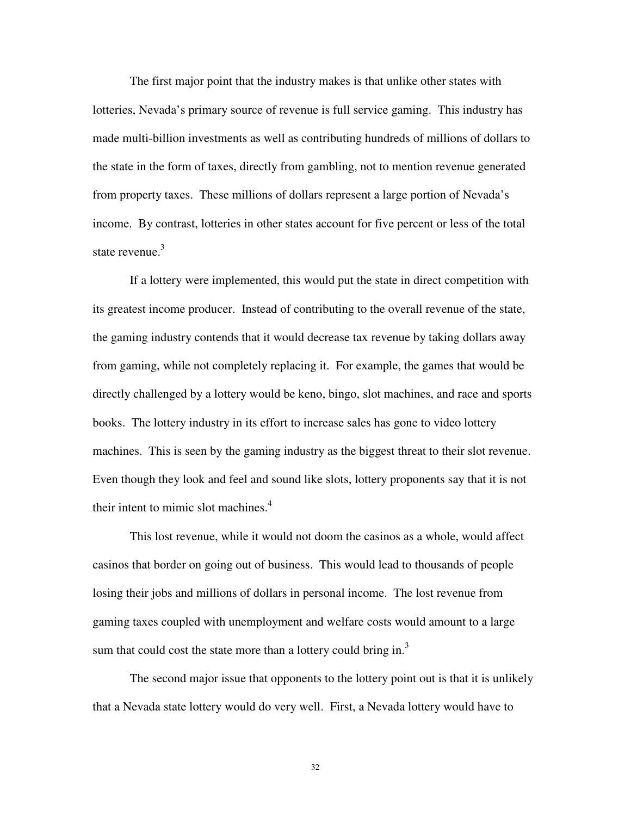The first major point that the industry makes is that unlike other states with lotteries, Nevada's primary source of revenue is full service gaming. This industry has made multi-billion investments as well as contributing hundreds of millions of dollars to the state in the form of taxes, directly from gambling, not to mention revenue generated from property taxes. These millions of dollars represent a large portion of Nevada's income. By contrast, lotteries in other states account for five percent or less of the total state revenue. $3$ 

 If a lottery were implemented, this would put the state in direct competition with its greatest income producer. Instead of contributing to the overall revenue of the state, the gaming industry contends that it would decrease tax revenue by taking dollars away from gaming, while not completely replacing it. For example, the games that would be directly challenged by a lottery would be keno, bingo, slot machines, and race and sports books. The lottery industry in its effort to increase sales has gone to video lottery machines. This is seen by the gaming industry as the biggest threat to their slot revenue. Even though they look and feel and sound like slots, lottery proponents say that it is not their intent to mimic slot machines. $4$ 

 This lost revenue, while it would not doom the casinos as a whole, would affect casinos that border on going out of business. This would lead to thousands of people losing their jobs and millions of dollars in personal income. The lost revenue from gaming taxes coupled with unemployment and welfare costs would amount to a large sum that could cost the state more than a lottery could bring in.<sup>3</sup>

 The second major issue that opponents to the lottery point out is that it is unlikely that a Nevada state lottery would do very well. First, a Nevada lottery would have to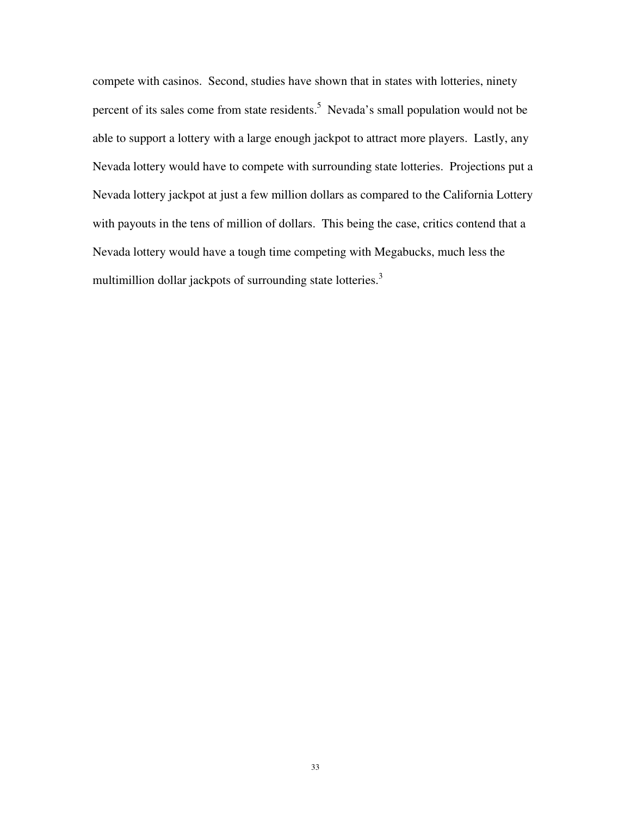compete with casinos. Second, studies have shown that in states with lotteries, ninety percent of its sales come from state residents.<sup>5</sup> Nevada's small population would not be able to support a lottery with a large enough jackpot to attract more players. Lastly, any Nevada lottery would have to compete with surrounding state lotteries. Projections put a Nevada lottery jackpot at just a few million dollars as compared to the California Lottery with payouts in the tens of million of dollars. This being the case, critics contend that a Nevada lottery would have a tough time competing with Megabucks, much less the multimillion dollar jackpots of surrounding state lotteries.<sup>3</sup>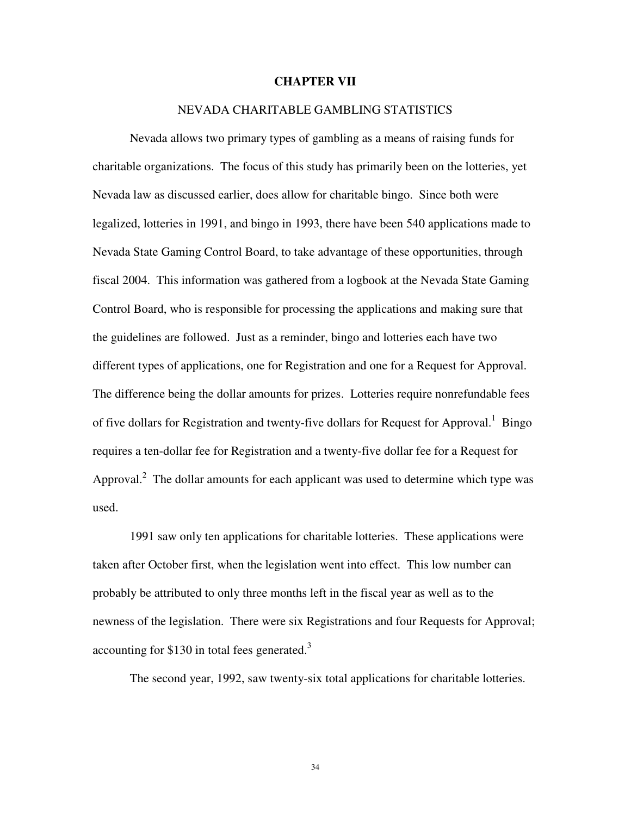#### **CHAPTER VII**

#### NEVADA CHARITABLE GAMBLING STATISTICS

Nevada allows two primary types of gambling as a means of raising funds for charitable organizations. The focus of this study has primarily been on the lotteries, yet Nevada law as discussed earlier, does allow for charitable bingo. Since both were legalized, lotteries in 1991, and bingo in 1993, there have been 540 applications made to Nevada State Gaming Control Board, to take advantage of these opportunities, through fiscal 2004. This information was gathered from a logbook at the Nevada State Gaming Control Board, who is responsible for processing the applications and making sure that the guidelines are followed. Just as a reminder, bingo and lotteries each have two different types of applications, one for Registration and one for a Request for Approval. The difference being the dollar amounts for prizes. Lotteries require nonrefundable fees of five dollars for Registration and twenty-five dollars for Request for Approval.<sup>1</sup> Bingo requires a ten-dollar fee for Registration and a twenty-five dollar fee for a Request for Approval. $^2$  The dollar amounts for each applicant was used to determine which type was used.

1991 saw only ten applications for charitable lotteries. These applications were taken after October first, when the legislation went into effect. This low number can probably be attributed to only three months left in the fiscal year as well as to the newness of the legislation. There were six Registrations and four Requests for Approval; accounting for  $$130$  in total fees generated.<sup>3</sup>

The second year, 1992, saw twenty-six total applications for charitable lotteries.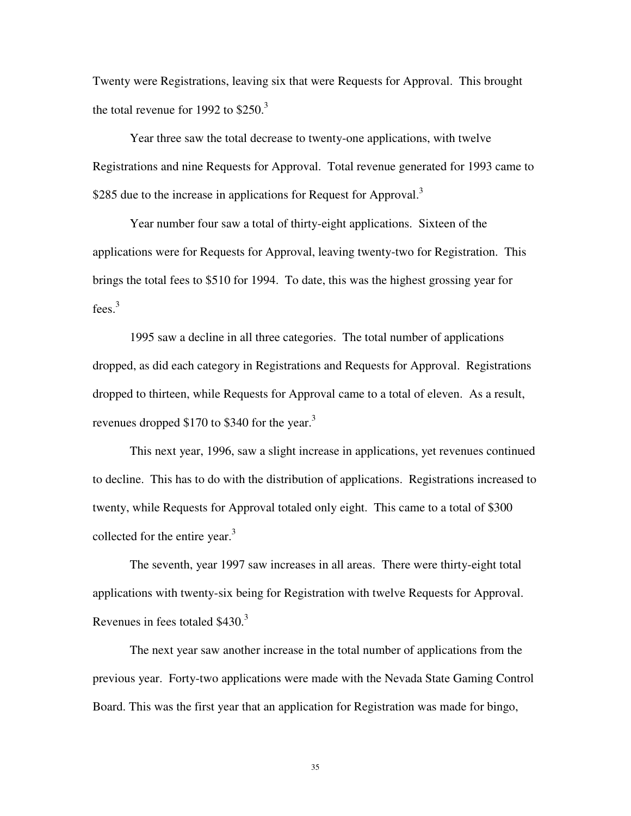Twenty were Registrations, leaving six that were Requests for Approval. This brought the total revenue for 1992 to  $$250.<sup>3</sup>$ 

Year three saw the total decrease to twenty-one applications, with twelve Registrations and nine Requests for Approval. Total revenue generated for 1993 came to \$285 due to the increase in applications for Request for Approval.<sup>3</sup>

Year number four saw a total of thirty-eight applications. Sixteen of the applications were for Requests for Approval, leaving twenty-two for Registration. This brings the total fees to \$510 for 1994. To date, this was the highest grossing year for fees.<sup>3</sup>

1995 saw a decline in all three categories. The total number of applications dropped, as did each category in Registrations and Requests for Approval. Registrations dropped to thirteen, while Requests for Approval came to a total of eleven. As a result, revenues dropped \$170 to \$340 for the year.<sup>3</sup>

This next year, 1996, saw a slight increase in applications, yet revenues continued to decline. This has to do with the distribution of applications. Registrations increased to twenty, while Requests for Approval totaled only eight. This came to a total of \$300 collected for the entire year.<sup>3</sup>

The seventh, year 1997 saw increases in all areas. There were thirty-eight total applications with twenty-six being for Registration with twelve Requests for Approval. Revenues in fees totaled  $$430.<sup>3</sup>$ 

The next year saw another increase in the total number of applications from the previous year. Forty-two applications were made with the Nevada State Gaming Control Board. This was the first year that an application for Registration was made for bingo,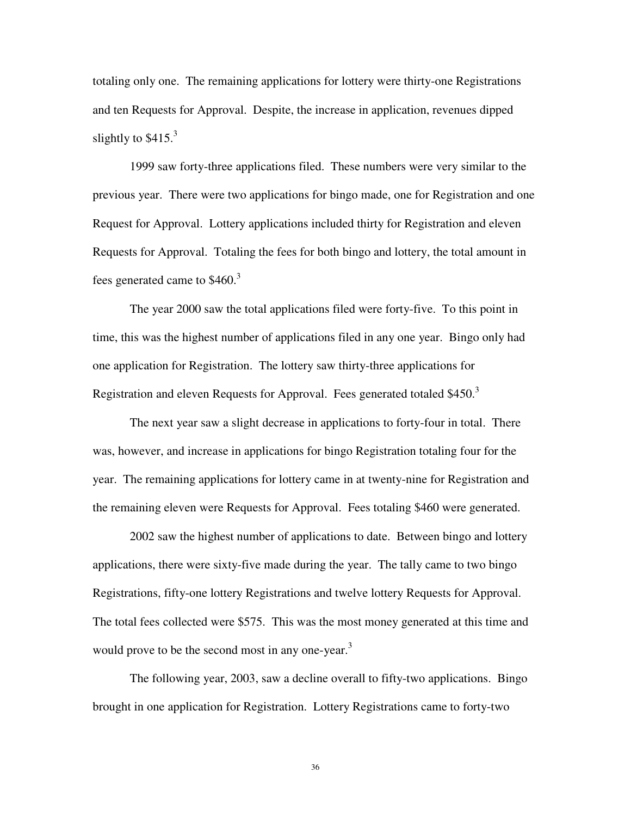totaling only one. The remaining applications for lottery were thirty-one Registrations and ten Requests for Approval. Despite, the increase in application, revenues dipped slightly to  $$415.<sup>3</sup>$ 

1999 saw forty-three applications filed. These numbers were very similar to the previous year. There were two applications for bingo made, one for Registration and one Request for Approval. Lottery applications included thirty for Registration and eleven Requests for Approval. Totaling the fees for both bingo and lottery, the total amount in fees generated came to  $$460.<sup>3</sup>$ 

The year 2000 saw the total applications filed were forty-five. To this point in time, this was the highest number of applications filed in any one year. Bingo only had one application for Registration. The lottery saw thirty-three applications for Registration and eleven Requests for Approval. Fees generated totaled \$450.<sup>3</sup>

The next year saw a slight decrease in applications to forty-four in total. There was, however, and increase in applications for bingo Registration totaling four for the year. The remaining applications for lottery came in at twenty-nine for Registration and the remaining eleven were Requests for Approval. Fees totaling \$460 were generated.

2002 saw the highest number of applications to date. Between bingo and lottery applications, there were sixty-five made during the year. The tally came to two bingo Registrations, fifty-one lottery Registrations and twelve lottery Requests for Approval. The total fees collected were \$575. This was the most money generated at this time and would prove to be the second most in any one-year.<sup>3</sup>

The following year, 2003, saw a decline overall to fifty-two applications. Bingo brought in one application for Registration. Lottery Registrations came to forty-two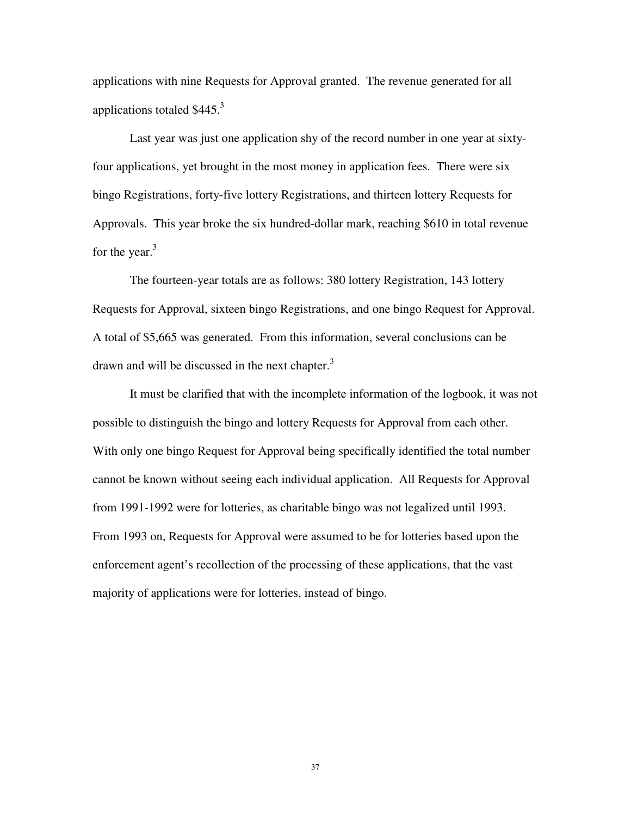applications with nine Requests for Approval granted. The revenue generated for all applications totaled  $$445.<sup>3</sup>$ 

Last year was just one application shy of the record number in one year at sixtyfour applications, yet brought in the most money in application fees. There were six bingo Registrations, forty-five lottery Registrations, and thirteen lottery Requests for Approvals. This year broke the six hundred-dollar mark, reaching \$610 in total revenue for the year. $3$ 

The fourteen-year totals are as follows: 380 lottery Registration, 143 lottery Requests for Approval, sixteen bingo Registrations, and one bingo Request for Approval. A total of \$5,665 was generated. From this information, several conclusions can be drawn and will be discussed in the next chapter. $3$ 

It must be clarified that with the incomplete information of the logbook, it was not possible to distinguish the bingo and lottery Requests for Approval from each other. With only one bingo Request for Approval being specifically identified the total number cannot be known without seeing each individual application. All Requests for Approval from 1991-1992 were for lotteries, as charitable bingo was not legalized until 1993. From 1993 on, Requests for Approval were assumed to be for lotteries based upon the enforcement agent's recollection of the processing of these applications, that the vast majority of applications were for lotteries, instead of bingo.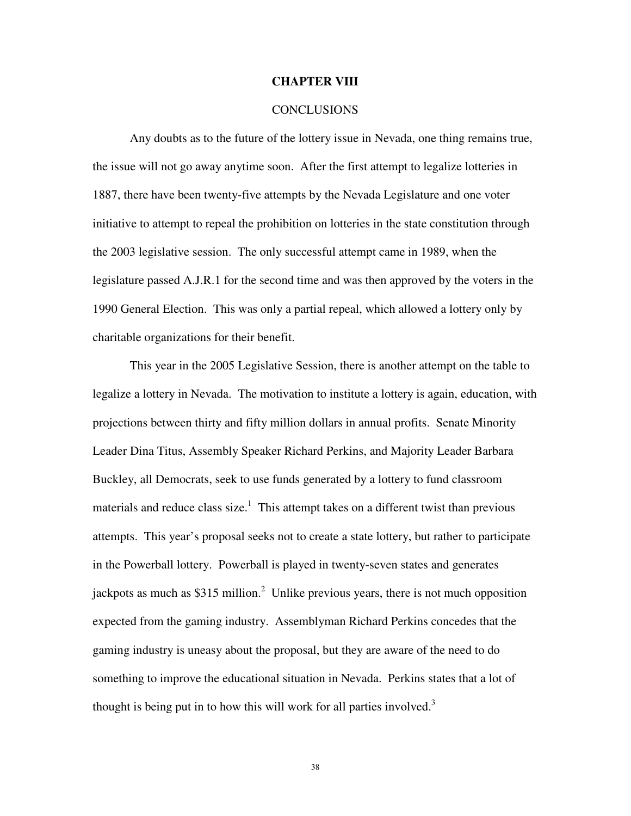#### **CHAPTER VIII**

#### **CONCLUSIONS**

 Any doubts as to the future of the lottery issue in Nevada, one thing remains true, the issue will not go away anytime soon. After the first attempt to legalize lotteries in 1887, there have been twenty-five attempts by the Nevada Legislature and one voter initiative to attempt to repeal the prohibition on lotteries in the state constitution through the 2003 legislative session. The only successful attempt came in 1989, when the legislature passed A.J.R.1 for the second time and was then approved by the voters in the 1990 General Election. This was only a partial repeal, which allowed a lottery only by charitable organizations for their benefit.

 This year in the 2005 Legislative Session, there is another attempt on the table to legalize a lottery in Nevada. The motivation to institute a lottery is again, education, with projections between thirty and fifty million dollars in annual profits. Senate Minority Leader Dina Titus, Assembly Speaker Richard Perkins, and Majority Leader Barbara Buckley, all Democrats, seek to use funds generated by a lottery to fund classroom materials and reduce class size.<sup>1</sup> This attempt takes on a different twist than previous attempts. This year's proposal seeks not to create a state lottery, but rather to participate in the Powerball lottery. Powerball is played in twenty-seven states and generates jackpots as much as \$315 million.<sup>2</sup> Unlike previous years, there is not much opposition expected from the gaming industry. Assemblyman Richard Perkins concedes that the gaming industry is uneasy about the proposal, but they are aware of the need to do something to improve the educational situation in Nevada. Perkins states that a lot of thought is being put in to how this will work for all parties involved.<sup>3</sup>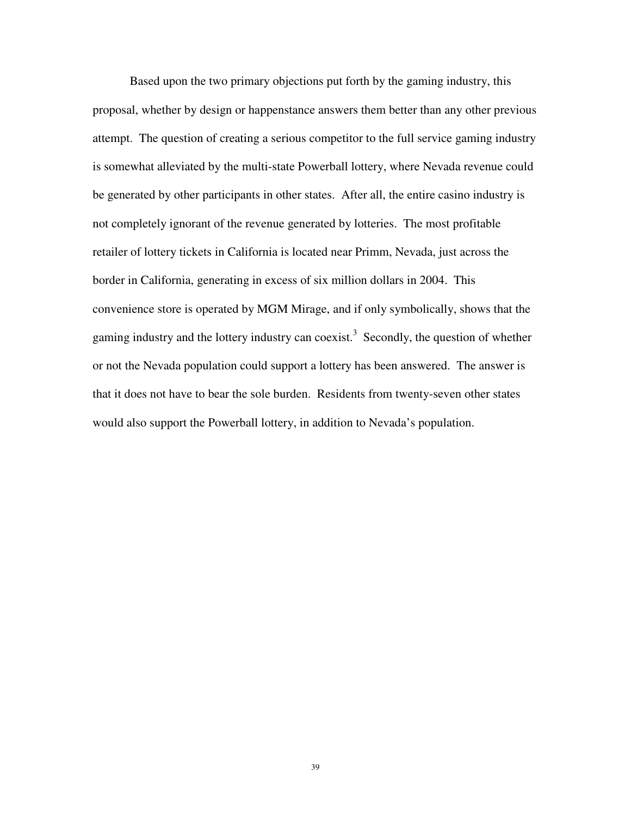Based upon the two primary objections put forth by the gaming industry, this proposal, whether by design or happenstance answers them better than any other previous attempt. The question of creating a serious competitor to the full service gaming industry is somewhat alleviated by the multi-state Powerball lottery, where Nevada revenue could be generated by other participants in other states. After all, the entire casino industry is not completely ignorant of the revenue generated by lotteries. The most profitable retailer of lottery tickets in California is located near Primm, Nevada, just across the border in California, generating in excess of six million dollars in 2004. This convenience store is operated by MGM Mirage, and if only symbolically, shows that the gaming industry and the lottery industry can coexist.<sup>3</sup> Secondly, the question of whether or not the Nevada population could support a lottery has been answered. The answer is that it does not have to bear the sole burden. Residents from twenty-seven other states would also support the Powerball lottery, in addition to Nevada's population.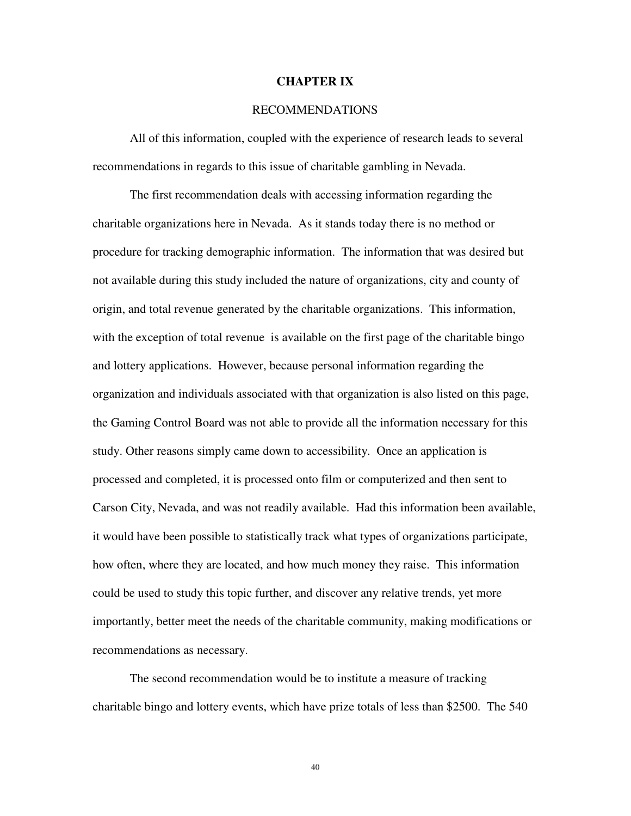#### **CHAPTER IX**

#### RECOMMENDATIONS

 All of this information, coupled with the experience of research leads to several recommendations in regards to this issue of charitable gambling in Nevada.

 The first recommendation deals with accessing information regarding the charitable organizations here in Nevada. As it stands today there is no method or procedure for tracking demographic information. The information that was desired but not available during this study included the nature of organizations, city and county of origin, and total revenue generated by the charitable organizations. This information, with the exception of total revenue is available on the first page of the charitable bingo and lottery applications. However, because personal information regarding the organization and individuals associated with that organization is also listed on this page, the Gaming Control Board was not able to provide all the information necessary for this study. Other reasons simply came down to accessibility. Once an application is processed and completed, it is processed onto film or computerized and then sent to Carson City, Nevada, and was not readily available. Had this information been available, it would have been possible to statistically track what types of organizations participate, how often, where they are located, and how much money they raise. This information could be used to study this topic further, and discover any relative trends, yet more importantly, better meet the needs of the charitable community, making modifications or recommendations as necessary.

 The second recommendation would be to institute a measure of tracking charitable bingo and lottery events, which have prize totals of less than \$2500. The 540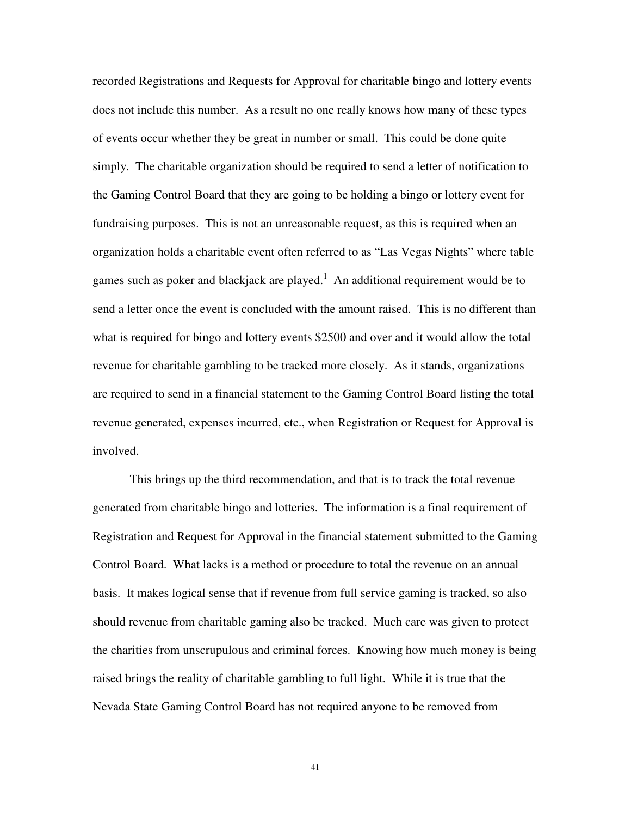recorded Registrations and Requests for Approval for charitable bingo and lottery events does not include this number. As a result no one really knows how many of these types of events occur whether they be great in number or small. This could be done quite simply. The charitable organization should be required to send a letter of notification to the Gaming Control Board that they are going to be holding a bingo or lottery event for fundraising purposes. This is not an unreasonable request, as this is required when an organization holds a charitable event often referred to as "Las Vegas Nights" where table games such as poker and blackjack are played. $<sup>1</sup>$  An additional requirement would be to</sup> send a letter once the event is concluded with the amount raised. This is no different than what is required for bingo and lottery events \$2500 and over and it would allow the total revenue for charitable gambling to be tracked more closely. As it stands, organizations are required to send in a financial statement to the Gaming Control Board listing the total revenue generated, expenses incurred, etc., when Registration or Request for Approval is involved.

 This brings up the third recommendation, and that is to track the total revenue generated from charitable bingo and lotteries. The information is a final requirement of Registration and Request for Approval in the financial statement submitted to the Gaming Control Board. What lacks is a method or procedure to total the revenue on an annual basis. It makes logical sense that if revenue from full service gaming is tracked, so also should revenue from charitable gaming also be tracked. Much care was given to protect the charities from unscrupulous and criminal forces. Knowing how much money is being raised brings the reality of charitable gambling to full light. While it is true that the Nevada State Gaming Control Board has not required anyone to be removed from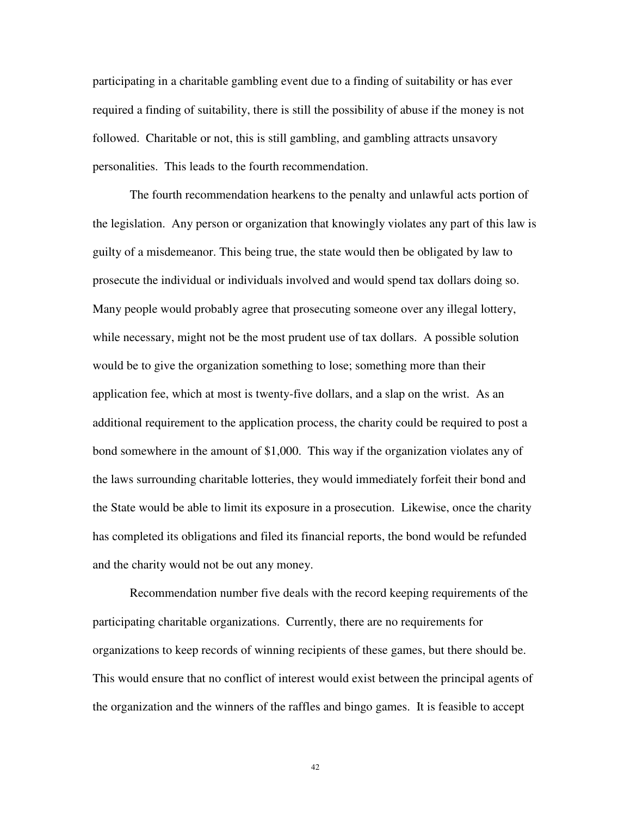participating in a charitable gambling event due to a finding of suitability or has ever required a finding of suitability, there is still the possibility of abuse if the money is not followed. Charitable or not, this is still gambling, and gambling attracts unsavory personalities. This leads to the fourth recommendation.

The fourth recommendation hearkens to the penalty and unlawful acts portion of the legislation. Any person or organization that knowingly violates any part of this law is guilty of a misdemeanor. This being true, the state would then be obligated by law to prosecute the individual or individuals involved and would spend tax dollars doing so. Many people would probably agree that prosecuting someone over any illegal lottery, while necessary, might not be the most prudent use of tax dollars. A possible solution would be to give the organization something to lose; something more than their application fee, which at most is twenty-five dollars, and a slap on the wrist. As an additional requirement to the application process, the charity could be required to post a bond somewhere in the amount of \$1,000. This way if the organization violates any of the laws surrounding charitable lotteries, they would immediately forfeit their bond and the State would be able to limit its exposure in a prosecution. Likewise, once the charity has completed its obligations and filed its financial reports, the bond would be refunded and the charity would not be out any money.

Recommendation number five deals with the record keeping requirements of the participating charitable organizations. Currently, there are no requirements for organizations to keep records of winning recipients of these games, but there should be. This would ensure that no conflict of interest would exist between the principal agents of the organization and the winners of the raffles and bingo games. It is feasible to accept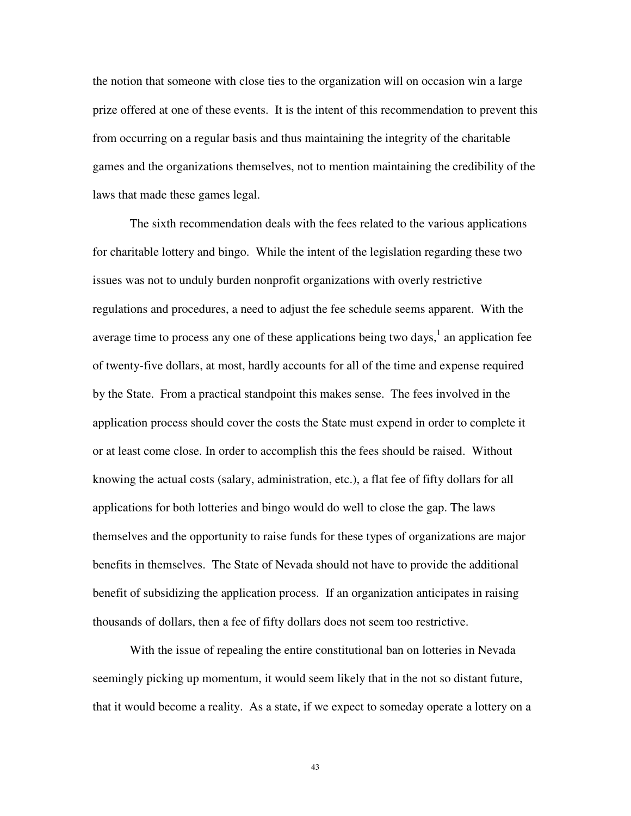the notion that someone with close ties to the organization will on occasion win a large prize offered at one of these events. It is the intent of this recommendation to prevent this from occurring on a regular basis and thus maintaining the integrity of the charitable games and the organizations themselves, not to mention maintaining the credibility of the laws that made these games legal.

The sixth recommendation deals with the fees related to the various applications for charitable lottery and bingo. While the intent of the legislation regarding these two issues was not to unduly burden nonprofit organizations with overly restrictive regulations and procedures, a need to adjust the fee schedule seems apparent. With the average time to process any one of these applications being two days, $<sup>1</sup>$  an application fee</sup> of twenty-five dollars, at most, hardly accounts for all of the time and expense required by the State. From a practical standpoint this makes sense. The fees involved in the application process should cover the costs the State must expend in order to complete it or at least come close. In order to accomplish this the fees should be raised. Without knowing the actual costs (salary, administration, etc.), a flat fee of fifty dollars for all applications for both lotteries and bingo would do well to close the gap. The laws themselves and the opportunity to raise funds for these types of organizations are major benefits in themselves. The State of Nevada should not have to provide the additional benefit of subsidizing the application process. If an organization anticipates in raising thousands of dollars, then a fee of fifty dollars does not seem too restrictive.

With the issue of repealing the entire constitutional ban on lotteries in Nevada seemingly picking up momentum, it would seem likely that in the not so distant future, that it would become a reality. As a state, if we expect to someday operate a lottery on a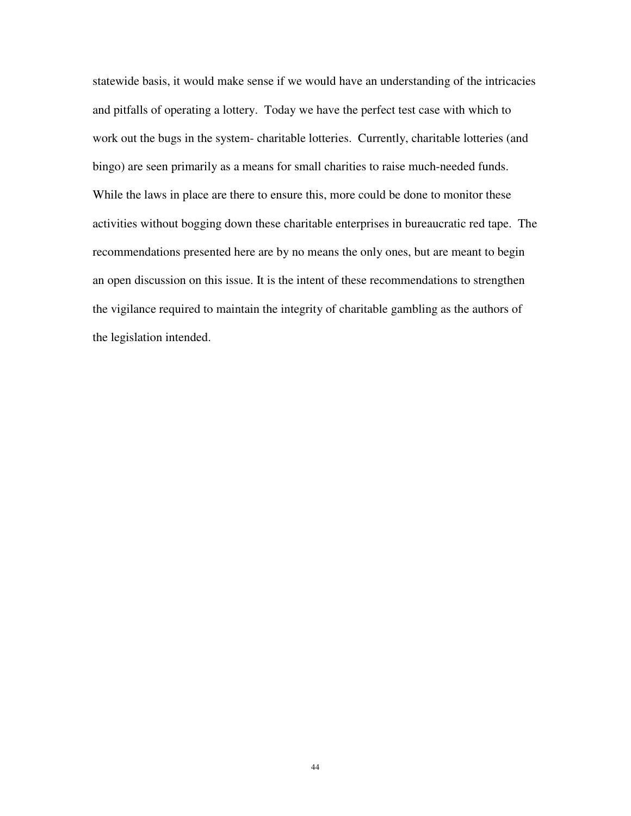statewide basis, it would make sense if we would have an understanding of the intricacies and pitfalls of operating a lottery. Today we have the perfect test case with which to work out the bugs in the system- charitable lotteries. Currently, charitable lotteries (and bingo) are seen primarily as a means for small charities to raise much-needed funds. While the laws in place are there to ensure this, more could be done to monitor these activities without bogging down these charitable enterprises in bureaucratic red tape. The recommendations presented here are by no means the only ones, but are meant to begin an open discussion on this issue. It is the intent of these recommendations to strengthen the vigilance required to maintain the integrity of charitable gambling as the authors of the legislation intended.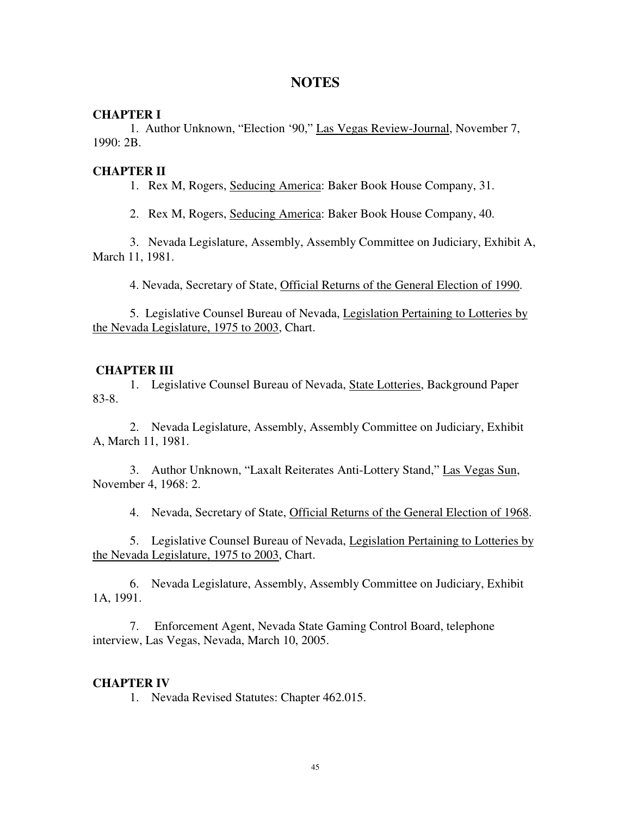# **NOTES**

#### **CHAPTER I**

1. Author Unknown, "Election '90," Las Vegas Review-Journal, November 7, 1990: 2B.

# **CHAPTER II**

1. Rex M, Rogers, Seducing America: Baker Book House Company, 31.

2. Rex M, Rogers, Seducing America: Baker Book House Company, 40.

 3. Nevada Legislature, Assembly, Assembly Committee on Judiciary, Exhibit A, March 11, 1981.

4. Nevada, Secretary of State, Official Returns of the General Election of 1990.

5. Legislative Counsel Bureau of Nevada, Legislation Pertaining to Lotteries by the Nevada Legislature, 1975 to 2003, Chart.

# **CHAPTER III**

 1. Legislative Counsel Bureau of Nevada, State Lotteries, Background Paper 83-8.

 2. Nevada Legislature, Assembly, Assembly Committee on Judiciary, Exhibit A, March 11, 1981.

 3. Author Unknown, "Laxalt Reiterates Anti-Lottery Stand," Las Vegas Sun, November 4, 1968: 2.

4. Nevada, Secretary of State, Official Returns of the General Election of 1968.

 5. Legislative Counsel Bureau of Nevada, Legislation Pertaining to Lotteries by the Nevada Legislature, 1975 to 2003, Chart.

 6. Nevada Legislature, Assembly, Assembly Committee on Judiciary, Exhibit 1A, 1991.

 7. Enforcement Agent, Nevada State Gaming Control Board, telephone interview, Las Vegas, Nevada, March 10, 2005.

# **CHAPTER IV**

1. Nevada Revised Statutes: Chapter 462.015.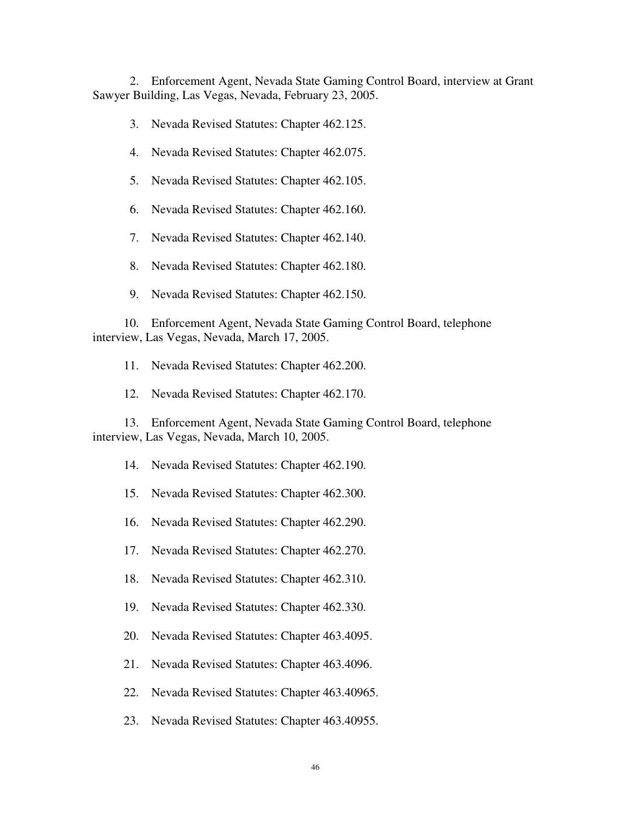2. Enforcement Agent, Nevada State Gaming Control Board, interview at Grant Sawyer Building, Las Vegas, Nevada, February 23, 2005.

3. Nevada Revised Statutes: Chapter 462.125.

- 4. Nevada Revised Statutes: Chapter 462.075.
- 5. Nevada Revised Statutes: Chapter 462.105.
- 6. Nevada Revised Statutes: Chapter 462.160.
- 7. Nevada Revised Statutes: Chapter 462.140.
- 8. Nevada Revised Statutes: Chapter 462.180.
- 9. Nevada Revised Statutes: Chapter 462.150.

 10. Enforcement Agent, Nevada State Gaming Control Board, telephone interview, Las Vegas, Nevada, March 17, 2005.

11. Nevada Revised Statutes: Chapter 462.200.

12. Nevada Revised Statutes: Chapter 462.170.

 13. Enforcement Agent, Nevada State Gaming Control Board, telephone interview, Las Vegas, Nevada, March 10, 2005.

- 14. Nevada Revised Statutes: Chapter 462.190.
- 15. Nevada Revised Statutes: Chapter 462.300.
- 16. Nevada Revised Statutes: Chapter 462.290.
- 17. Nevada Revised Statutes: Chapter 462.270.
- 18. Nevada Revised Statutes: Chapter 462.310.
- 19. Nevada Revised Statutes: Chapter 462.330.
- 20. Nevada Revised Statutes: Chapter 463.4095.
- 21. Nevada Revised Statutes: Chapter 463.4096.
- 22. Nevada Revised Statutes: Chapter 463.40965.
- 23. Nevada Revised Statutes: Chapter 463.40955.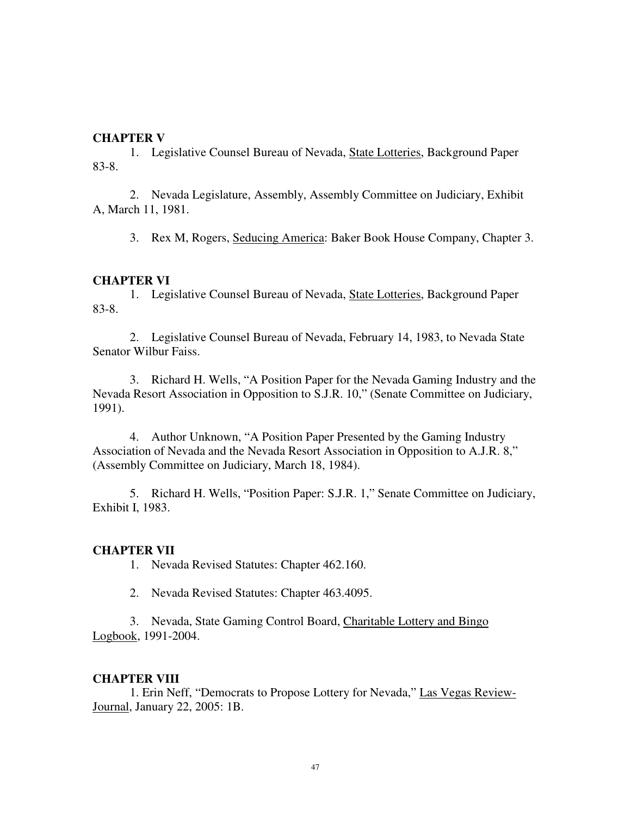# **CHAPTER V**

1. Legislative Counsel Bureau of Nevada, State Lotteries, Background Paper 83-8.

 2. Nevada Legislature, Assembly, Assembly Committee on Judiciary, Exhibit A, March 11, 1981.

3. Rex M, Rogers, Seducing America: Baker Book House Company, Chapter 3.

# **CHAPTER VI**

1. Legislative Counsel Bureau of Nevada, State Lotteries, Background Paper 83-8.

 2. Legislative Counsel Bureau of Nevada, February 14, 1983, to Nevada State Senator Wilbur Faiss.

 3. Richard H. Wells, "A Position Paper for the Nevada Gaming Industry and the Nevada Resort Association in Opposition to S.J.R. 10," (Senate Committee on Judiciary, 1991).

 4. Author Unknown, "A Position Paper Presented by the Gaming Industry Association of Nevada and the Nevada Resort Association in Opposition to A.J.R. 8," (Assembly Committee on Judiciary, March 18, 1984).

 5. Richard H. Wells, "Position Paper: S.J.R. 1," Senate Committee on Judiciary, Exhibit I, 1983.

# **CHAPTER VII**

1. Nevada Revised Statutes: Chapter 462.160.

2. Nevada Revised Statutes: Chapter 463.4095.

 3. Nevada, State Gaming Control Board, Charitable Lottery and Bingo Logbook, 1991-2004.

#### **CHAPTER VIII**

1. Erin Neff, "Democrats to Propose Lottery for Nevada," Las Vegas Review-Journal, January 22, 2005: 1B.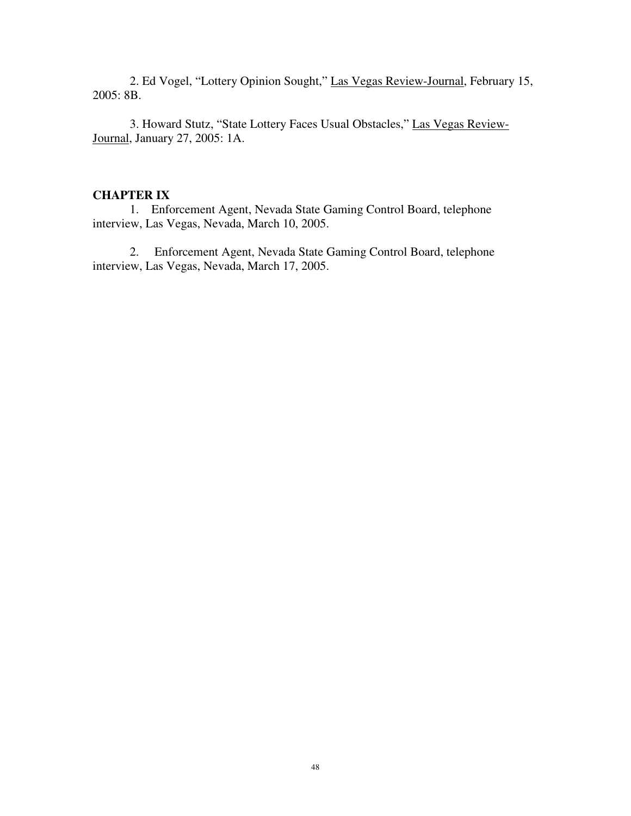2. Ed Vogel, "Lottery Opinion Sought," Las Vegas Review-Journal, February 15, 2005: 8B.

 3. Howard Stutz, "State Lottery Faces Usual Obstacles," Las Vegas Review-Journal, January 27, 2005: 1A.

# **CHAPTER IX**

1. Enforcement Agent, Nevada State Gaming Control Board, telephone interview, Las Vegas, Nevada, March 10, 2005.

 2. Enforcement Agent, Nevada State Gaming Control Board, telephone interview, Las Vegas, Nevada, March 17, 2005.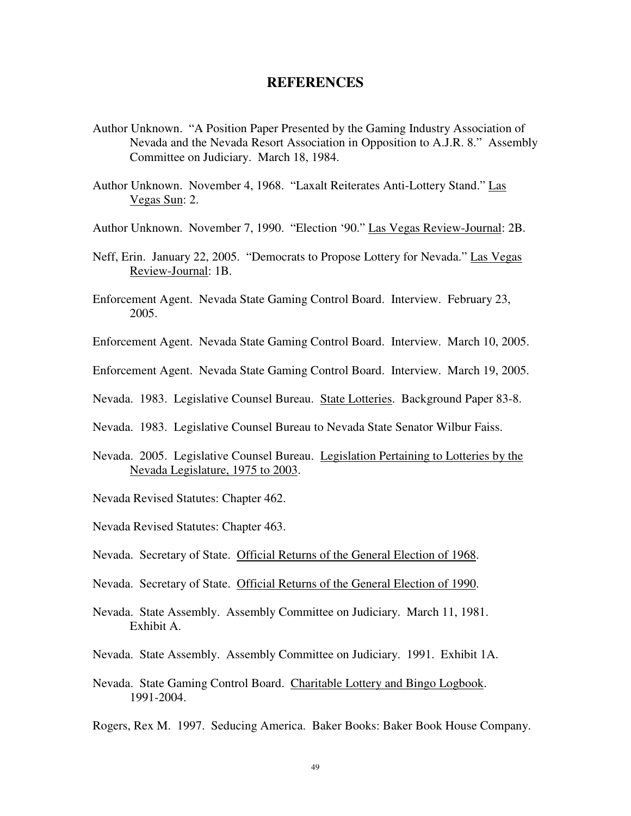# **REFERENCES**

- Author Unknown. "A Position Paper Presented by the Gaming Industry Association of Nevada and the Nevada Resort Association in Opposition to A.J.R. 8." Assembly Committee on Judiciary. March 18, 1984.
- Author Unknown. November 4, 1968. "Laxalt Reiterates Anti-Lottery Stand." Las Vegas Sun: 2.
- Author Unknown. November 7, 1990. "Election '90." Las Vegas Review-Journal: 2B.
- Neff, Erin. January 22, 2005. "Democrats to Propose Lottery for Nevada." Las Vegas Review-Journal: 1B.
- Enforcement Agent. Nevada State Gaming Control Board. Interview. February 23, 2005.
- Enforcement Agent. Nevada State Gaming Control Board. Interview. March 10, 2005.
- Enforcement Agent. Nevada State Gaming Control Board. Interview. March 19, 2005.
- Nevada. 1983. Legislative Counsel Bureau. State Lotteries. Background Paper 83-8.
- Nevada. 1983. Legislative Counsel Bureau to Nevada State Senator Wilbur Faiss.
- Nevada. 2005. Legislative Counsel Bureau. Legislation Pertaining to Lotteries by the Nevada Legislature, 1975 to 2003.
- Nevada Revised Statutes: Chapter 462.
- Nevada Revised Statutes: Chapter 463.
- Nevada. Secretary of State. Official Returns of the General Election of 1968.
- Nevada. Secretary of State. Official Returns of the General Election of 1990.
- Nevada. State Assembly. Assembly Committee on Judiciary. March 11, 1981. Exhibit A.
- Nevada. State Assembly. Assembly Committee on Judiciary. 1991. Exhibit 1A.
- Nevada. State Gaming Control Board. Charitable Lottery and Bingo Logbook. 1991-2004.

Rogers, Rex M. 1997. Seducing America. Baker Books: Baker Book House Company.